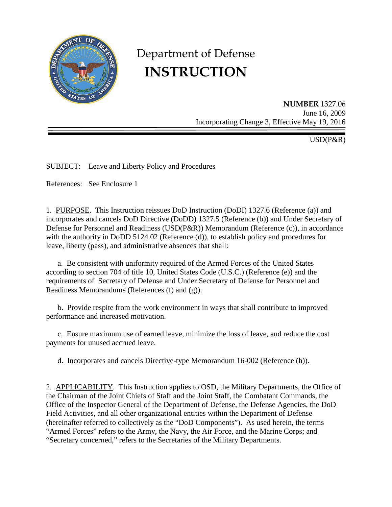

# Department of Defense **INSTRUCTION**

**NUMBER** 1327.06 June 16, 2009 Incorporating Change 3, Effective May 19, 2016

USD(P&R)

SUBJECT: Leave and Liberty Policy and Procedures

References: See Enclosure 1

1. PURPOSE. This Instruction reissues DoD Instruction (DoDI) 1327.6 (Reference (a)) and incorporates and cancels DoD Directive (DoDD) 1327.5 (Reference (b)) and Under Secretary of Defense for Personnel and Readiness (USD(P&R)) Memorandum (Reference (c)), in accordance with the authority in DoDD 5124.02 (Reference (d)), to establish policy and procedures for leave, liberty (pass), and administrative absences that shall:

 a. Be consistent with uniformity required of the Armed Forces of the United States according to section 704 of title 10, United States Code (U.S.C.) (Reference (e)) and the requirements of Secretary of Defense and Under Secretary of Defense for Personnel and Readiness Memorandums (References (f) and (g)).

 b. Provide respite from the work environment in ways that shall contribute to improved performance and increased motivation.

c. Ensure maximum use of earned leave, minimize the loss of leave, and reduce the cost payments for unused accrued leave.

d. Incorporates and cancels Directive-type Memorandum 16-002 (Reference (h)).

2. APPLICABILITY. This Instruction applies to OSD, the Military Departments, the Office of the Chairman of the Joint Chiefs of Staff and the Joint Staff, the Combatant Commands, the Office of the Inspector General of the Department of Defense, the Defense Agencies, the DoD Field Activities, and all other organizational entities within the Department of Defense (hereinafter referred to collectively as the "DoD Components"). As used herein, the terms "Armed Forces" refers to the Army, the Navy, the Air Force, and the Marine Corps; and "Secretary concerned," refers to the Secretaries of the Military Departments.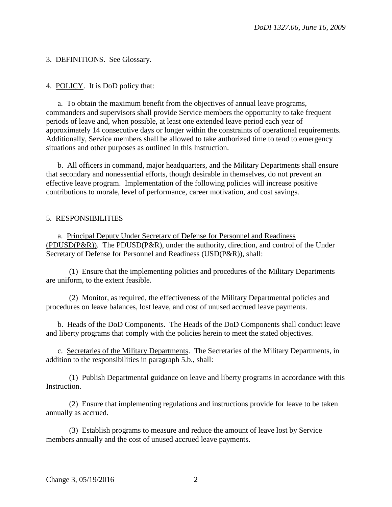3. DEFINITIONS. See Glossary.

4. POLICY. It is DoD policy that:

a. To obtain the maximum benefit from the objectives of annual leave programs, commanders and supervisors shall provide Service members the opportunity to take frequent periods of leave and, when possible, at least one extended leave period each year of approximately 14 consecutive days or longer within the constraints of operational requirements. Additionally, Service members shall be allowed to take authorized time to tend to emergency situations and other purposes as outlined in this Instruction.

b. All officers in command, major headquarters, and the Military Departments shall ensure that secondary and nonessential efforts, though desirable in themselves, do not prevent an effective leave program. Implementation of the following policies will increase positive contributions to morale, level of performance, career motivation, and cost savings.

# 5. RESPONSIBILITIES

a. Principal Deputy Under Secretary of Defense for Personnel and Readiness (PDUSD(P&R)). The PDUSD(P&R), under the authority, direction, and control of the Under Secretary of Defense for Personnel and Readiness (USD(P&R)), shall:

(1) Ensure that the implementing policies and procedures of the Military Departments are uniform, to the extent feasible.

(2) Monitor, as required, the effectiveness of the Military Departmental policies and procedures on leave balances, lost leave, and cost of unused accrued leave payments.

b. Heads of the DoD Components. The Heads of the DoD Components shall conduct leave and liberty programs that comply with the policies herein to meet the stated objectives.

c. Secretaries of the Military Departments. The Secretaries of the Military Departments, in addition to the responsibilities in paragraph 5.b., shall:

(1) Publish Departmental guidance on leave and liberty programs in accordance with this Instruction.

(2) Ensure that implementing regulations and instructions provide for leave to be taken annually as accrued.

(3) Establish programs to measure and reduce the amount of leave lost by Service members annually and the cost of unused accrued leave payments.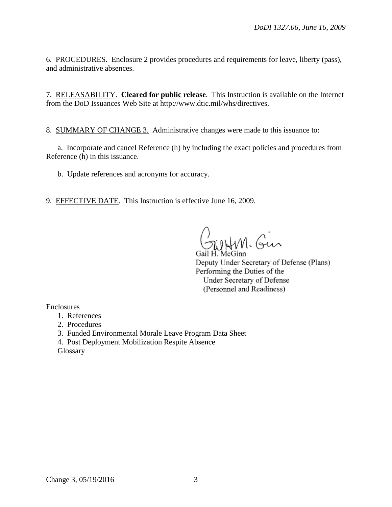6. PROCEDURES. Enclosure 2 provides procedures and requirements for leave, liberty (pass), and administrative absences.

7. RELEASABILITY. **Cleared for public release**. This Instruction is available on the Internet from the DoD Issuances Web Site at http://www.dtic.mil/whs/directives.

8. SUMMARY OF CHANGE 3. Administrative changes were made to this issuance to:

a. Incorporate and cancel Reference (h) by including the exact policies and procedures from Reference (h) in this issuance.

b. Update references and acronyms for accuracy.

9. EFFECTIVE DATE. This Instruction is effective June 16, 2009.

WHM. Gin

Gail H. McGinn Deputy Under Secretary of Defense (Plans) Performing the Duties of the Under Secretary of Defense (Personnel and Readiness)

Enclosures

- 1. References
- 2. Procedures
- 3. Funded Environmental Morale Leave Program Data Sheet
- 4. Post Deployment Mobilization Respite Absence

**Glossary**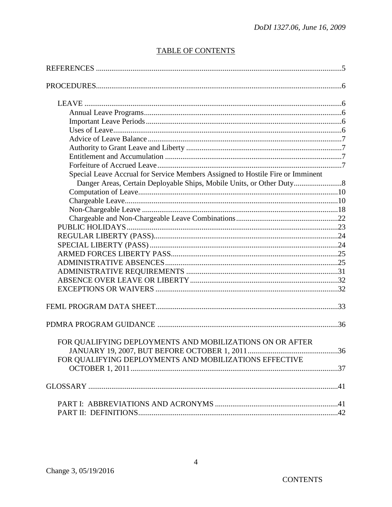# **TABLE OF CONTENTS**

| Special Leave Accrual for Service Members Assigned to Hostile Fire or Imminent |  |
|--------------------------------------------------------------------------------|--|
|                                                                                |  |
|                                                                                |  |
|                                                                                |  |
|                                                                                |  |
|                                                                                |  |
|                                                                                |  |
|                                                                                |  |
|                                                                                |  |
|                                                                                |  |
|                                                                                |  |
|                                                                                |  |
|                                                                                |  |
|                                                                                |  |
|                                                                                |  |
|                                                                                |  |
| FOR QUALIFYING DEPLOYMENTS AND MOBILIZATIONS ON OR AFTER                       |  |
|                                                                                |  |
| FOR QUALIFYING DEPLOYMENTS AND MOBILIZATIONS EFFECTIVE                         |  |
|                                                                                |  |
|                                                                                |  |
|                                                                                |  |
|                                                                                |  |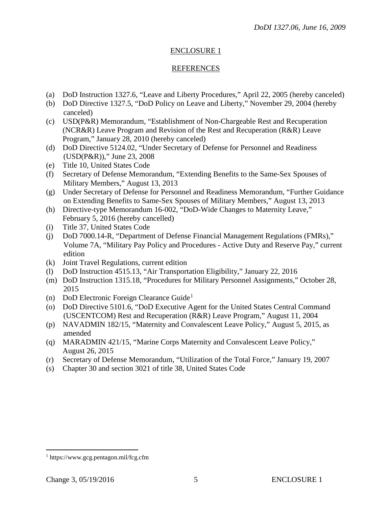# ENCLOSURE 1

# **REFERENCES**

- (a) DoD Instruction 1327.6, "Leave and Liberty Procedures," April 22, 2005 (hereby canceled)
- (b) DoD Directive 1327.5, "DoD Policy on Leave and Liberty," November 29, 2004 (hereby canceled)
- (c) USD(P&R) Memorandum, "Establishment of Non-Chargeable Rest and Recuperation (NCR&R) Leave Program and Revision of the Rest and Recuperation (R&R) Leave Program," January 28, 2010 (hereby canceled)
- (d) DoD Directive 5124.02, "Under Secretary of Defense for Personnel and Readiness (USD(P&R))," June 23, 2008
- (e) Title 10, United States Code
- (f) Secretary of Defense Memorandum, "Extending Benefits to the Same-Sex Spouses of Military Members," August 13, 2013
- (g) Under Secretary of Defense for Personnel and Readiness Memorandum, "Further Guidance on Extending Benefits to Same-Sex Spouses of Military Members," August 13, 2013
- (h) Directive-type Memorandum 16-002, "DoD-Wide Changes to Maternity Leave," February 5, 2016 (hereby cancelled)
- (i) Title 37, United States Code
- (j) DoD 7000.14-R, "Department of Defense Financial Management Regulations (FMRs)," Volume 7A, "Military Pay Policy and Procedures - Active Duty and Reserve Pay," current edition
- (k) Joint Travel Regulations, current edition
- (l) DoD Instruction 4515.13, "Air Transportation Eligibility," January 22, 2016
- (m) DoD Instruction 1315.18, "Procedures for Military Personnel Assignments," October 28, 2015
- (n) DoD Electronic Foreign Clearance Guide<sup>[1](#page-4-0)</sup>
- (o) DoD Directive 5101.6, "DoD Executive Agent for the United States Central Command (USCENTCOM) Rest and Recuperation (R&R) Leave Program," August 11, 2004
- (p) NAVADMIN 182/15, "Maternity and Convalescent Leave Policy," August 5, 2015, as amended
- (q) MARADMIN 421/15, "Marine Corps Maternity and Convalescent Leave Policy," August 26, 2015
- (r) Secretary of Defense Memorandum, "Utilization of the Total Force," January 19, 2007
- (s) Chapter 30 and section 3021 of title 38, United States Code

 $\overline{a}$ 

<span id="page-4-0"></span><sup>1</sup> https://www.gcg.pentagon.mil/fcg.cfm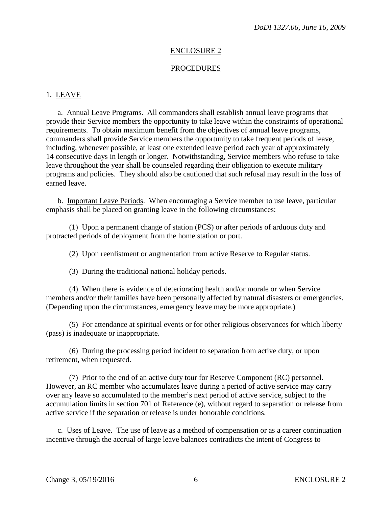#### ENCLOSURE 2

#### PROCEDURES

## 1. LEAVE

a. Annual Leave Programs. All commanders shall establish annual leave programs that provide their Service members the opportunity to take leave within the constraints of operational requirements. To obtain maximum benefit from the objectives of annual leave programs, commanders shall provide Service members the opportunity to take frequent periods of leave, including, whenever possible, at least one extended leave period each year of approximately 14 consecutive days in length or longer. Notwithstanding, Service members who refuse to take leave throughout the year shall be counseled regarding their obligation to execute military programs and policies. They should also be cautioned that such refusal may result in the loss of earned leave.

 b. Important Leave Periods. When encouraging a Service member to use leave, particular emphasis shall be placed on granting leave in the following circumstances:

 (1) Upon a permanent change of station (PCS) or after periods of arduous duty and protracted periods of deployment from the home station or port.

(2) Upon reenlistment or augmentation from active Reserve to Regular status.

(3) During the traditional national holiday periods.

 (4) When there is evidence of deteriorating health and/or morale or when Service members and/or their families have been personally affected by natural disasters or emergencies. (Depending upon the circumstances, emergency leave may be more appropriate.)

 (5) For attendance at spiritual events or for other religious observances for which liberty (pass) is inadequate or inappropriate.

 (6) During the processing period incident to separation from active duty, or upon retirement, when requested.

 (7) Prior to the end of an active duty tour for Reserve Component (RC) personnel. However, an RC member who accumulates leave during a period of active service may carry over any leave so accumulated to the member's next period of active service, subject to the accumulation limits in section 701 of Reference (e), without regard to separation or release from active service if the separation or release is under honorable conditions.

c. Uses of Leave. The use of leave as a method of compensation or as a career continuation incentive through the accrual of large leave balances contradicts the intent of Congress to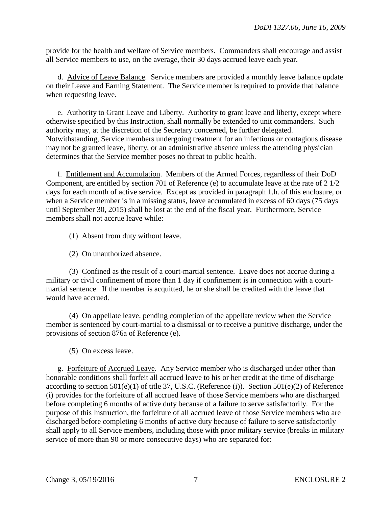provide for the health and welfare of Service members. Commanders shall encourage and assist all Service members to use, on the average, their 30 days accrued leave each year.

d. Advice of Leave Balance. Service members are provided a monthly leave balance update on their Leave and Earning Statement. The Service member is required to provide that balance when requesting leave.

e. Authority to Grant Leave and Liberty. Authority to grant leave and liberty, except where otherwise specified by this Instruction, shall normally be extended to unit commanders. Such authority may, at the discretion of the Secretary concerned, be further delegated. Notwithstanding, Service members undergoing treatment for an infectious or contagious disease may not be granted leave, liberty, or an administrative absence unless the attending physician determines that the Service member poses no threat to public health.

 f. Entitlement and Accumulation. Members of the Armed Forces, regardless of their DoD Component, are entitled by section 701 of Reference (e) to accumulate leave at the rate of 2 1/2 days for each month of active service. Except as provided in paragraph 1.h. of this enclosure, or when a Service member is in a missing status, leave accumulated in excess of 60 days (75 days until September 30, 2015) shall be lost at the end of the fiscal year. Furthermore, Service members shall not accrue leave while:

- (1) Absent from duty without leave.
- (2) On unauthorized absence.

 (3) Confined as the result of a court-martial sentence. Leave does not accrue during a military or civil confinement of more than 1 day if confinement is in connection with a courtmartial sentence. If the member is acquitted, he or she shall be credited with the leave that would have accrued.

 (4) On appellate leave, pending completion of the appellate review when the Service member is sentenced by court-martial to a dismissal or to receive a punitive discharge, under the provisions of section 876a of Reference (e).

(5) On excess leave.

g. Forfeiture of Accrued Leave. Any Service member who is discharged under other than honorable conditions shall forfeit all accrued leave to his or her credit at the time of discharge according to section 501(e)(1) of title 37, U.S.C. (Reference (i)). Section 501(e)(2) of Reference (i) provides for the forfeiture of all accrued leave of those Service members who are discharged before completing 6 months of active duty because of a failure to serve satisfactorily. For the purpose of this Instruction, the forfeiture of all accrued leave of those Service members who are discharged before completing 6 months of active duty because of failure to serve satisfactorily shall apply to all Service members, including those with prior military service (breaks in military service of more than 90 or more consecutive days) who are separated for: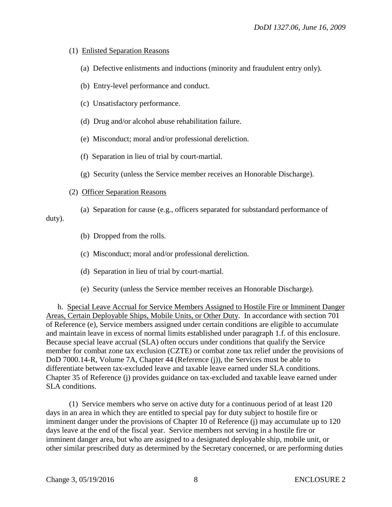## (1) Enlisted Separation Reasons

- (a) Defective enlistments and inductions (minority and fraudulent entry only).
- (b) Entry-level performance and conduct.
- (c) Unsatisfactory performance.
- (d) Drug and/or alcohol abuse rehabilitation failure.
- (e) Misconduct; moral and/or professional dereliction.
- (f) Separation in lieu of trial by court-martial.
- (g) Security (unless the Service member receives an Honorable Discharge).

#### (2) Officer Separation Reasons

 (a) Separation for cause (e.g., officers separated for substandard performance of duty).

- (b) Dropped from the rolls.
- (c) Misconduct; moral and/or professional dereliction.
- (d) Separation in lieu of trial by court-martial.
- (e) Security (unless the Service member receives an Honorable Discharge).

 h. Special Leave Accrual for Service Members Assigned to Hostile Fire or Imminent Danger Areas, Certain Deployable Ships, Mobile Units, or Other Duty. In accordance with section 701 of Reference (e), Service members assigned under certain conditions are eligible to accumulate and maintain leave in excess of normal limits established under paragraph 1.f. of this enclosure. Because special leave accrual (SLA) often occurs under conditions that qualify the Service member for combat zone tax exclusion (CZTE) or combat zone tax relief under the provisions of DoD 7000.14-R, Volume 7A, Chapter 44 (Reference (j)), the Services must be able to differentiate between tax-excluded leave and taxable leave earned under SLA conditions. Chapter 35 of Reference (j) provides guidance on tax-excluded and taxable leave earned under SLA conditions.

 (1) Service members who serve on active duty for a continuous period of at least 120 days in an area in which they are entitled to special pay for duty subject to hostile fire or imminent danger under the provisions of Chapter 10 of Reference (j) may accumulate up to 120 days leave at the end of the fiscal year. Service members not serving in a hostile fire or imminent danger area, but who are assigned to a designated deployable ship, mobile unit, or other similar prescribed duty as determined by the Secretary concerned, or are performing duties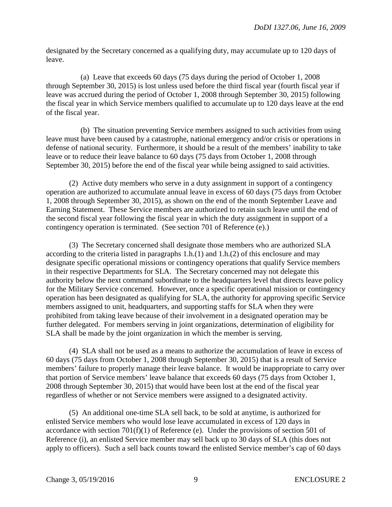designated by the Secretary concerned as a qualifying duty, may accumulate up to 120 days of leave.

 (a) Leave that exceeds 60 days (75 days during the period of October 1, 2008 through September 30, 2015) is lost unless used before the third fiscal year (fourth fiscal year if leave was accrued during the period of October 1, 2008 through September 30, 2015) following the fiscal year in which Service members qualified to accumulate up to 120 days leave at the end of the fiscal year.

 (b) The situation preventing Service members assigned to such activities from using leave must have been caused by a catastrophe, national emergency and/or crisis or operations in defense of national security. Furthermore, it should be a result of the members' inability to take leave or to reduce their leave balance to 60 days (75 days from October 1, 2008 through September 30, 2015) before the end of the fiscal year while being assigned to said activities.

 (2) Active duty members who serve in a duty assignment in support of a contingency operation are authorized to accumulate annual leave in excess of 60 days (75 days from October 1, 2008 through September 30, 2015), as shown on the end of the month September Leave and Earning Statement. These Service members are authorized to retain such leave until the end of the second fiscal year following the fiscal year in which the duty assignment in support of a contingency operation is terminated. (See section 701 of Reference (e).)

 (3) The Secretary concerned shall designate those members who are authorized SLA according to the criteria listed in paragraphs  $1.h(1)$  and  $1.h(2)$  of this enclosure and may designate specific operational missions or contingency operations that qualify Service members in their respective Departments for SLA. The Secretary concerned may not delegate this authority below the next command subordinate to the headquarters level that directs leave policy for the Military Service concerned. However, once a specific operational mission or contingency operation has been designated as qualifying for SLA, the authority for approving specific Service members assigned to unit, headquarters, and supporting staffs for SLA when they were prohibited from taking leave because of their involvement in a designated operation may be further delegated. For members serving in joint organizations, determination of eligibility for SLA shall be made by the joint organization in which the member is serving.

(4) SLA shall not be used as a means to authorize the accumulation of leave in excess of 60 days (75 days from October 1, 2008 through September 30, 2015) that is a result of Service members' failure to properly manage their leave balance. It would be inappropriate to carry over that portion of Service members' leave balance that exceeds 60 days (75 days from October 1, 2008 through September 30, 2015) that would have been lost at the end of the fiscal year regardless of whether or not Service members were assigned to a designated activity.

(5) An additional one-time SLA sell back, to be sold at anytime, is authorized for enlisted Service members who would lose leave accumulated in excess of 120 days in accordance with section 701(f)(1) of Reference (e). Under the provisions of section 501 of Reference (i), an enlisted Service member may sell back up to 30 days of SLA (this does not apply to officers). Such a sell back counts toward the enlisted Service member's cap of 60 days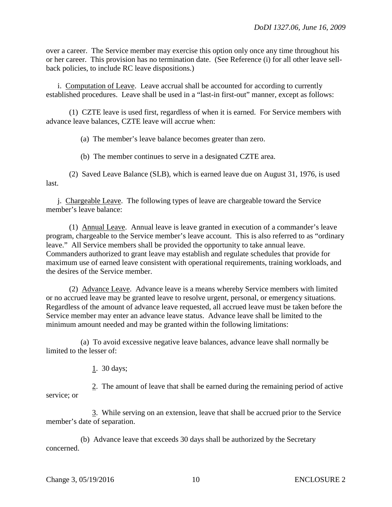over a career. The Service member may exercise this option only once any time throughout his or her career. This provision has no termination date. (See Reference (i) for all other leave sellback policies, to include RC leave dispositions.)

i. Computation of Leave. Leave accrual shall be accounted for according to currently established procedures. Leave shall be used in a "last-in first-out" manner, except as follows:

 (1) CZTE leave is used first, regardless of when it is earned. For Service members with advance leave balances, CZTE leave will accrue when:

(a) The member's leave balance becomes greater than zero.

(b) The member continues to serve in a designated CZTE area.

 (2) Saved Leave Balance (SLB), which is earned leave due on August 31, 1976, is used last.

 j. Chargeable Leave. The following types of leave are chargeable toward the Service member's leave balance:

 (1) Annual Leave. Annual leave is leave granted in execution of a commander's leave program, chargeable to the Service member's leave account. This is also referred to as "ordinary leave." All Service members shall be provided the opportunity to take annual leave. Commanders authorized to grant leave may establish and regulate schedules that provide for maximum use of earned leave consistent with operational requirements, training workloads, and the desires of the Service member.

 (2) Advance Leave. Advance leave is a means whereby Service members with limited or no accrued leave may be granted leave to resolve urgent, personal, or emergency situations. Regardless of the amount of advance leave requested, all accrued leave must be taken before the Service member may enter an advance leave status. Advance leave shall be limited to the minimum amount needed and may be granted within the following limitations:

 (a) To avoid excessive negative leave balances, advance leave shall normally be limited to the lesser of:

1. 30 days;

 2. The amount of leave that shall be earned during the remaining period of active service; or

 3. While serving on an extension, leave that shall be accrued prior to the Service member's date of separation.

 (b) Advance leave that exceeds 30 days shall be authorized by the Secretary concerned.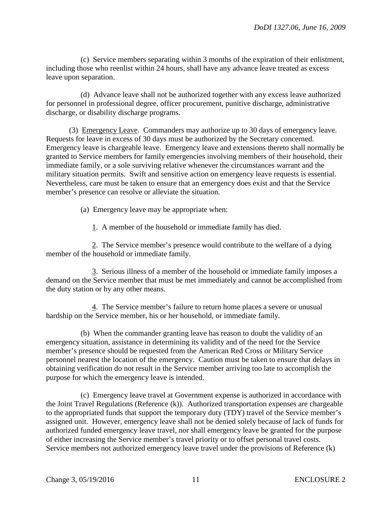(c) Service members separating within 3 months of the expiration of their enlistment, including those who reenlist within 24 hours, shall have any advance leave treated as excess leave upon separation.

 (d) Advance leave shall not be authorized together with any excess leave authorized for personnel in professional degree, officer procurement, punitive discharge, administrative discharge, or disability discharge programs.

 (3) Emergency Leave. Commanders may authorize up to 30 days of emergency leave. Requests for leave in excess of 30 days must be authorized by the Secretary concerned. Emergency leave is chargeable leave. Emergency leave and extensions thereto shall normally be granted to Service members for family emergencies involving members of their household, their immediate family, or a sole surviving relative whenever the circumstances warrant and the military situation permits. Swift and sensitive action on emergency leave requests is essential. Nevertheless, care must be taken to ensure that an emergency does exist and that the Service member's presence can resolve or alleviate the situation.

(a) Emergency leave may be appropriate when:

1. A member of the household or immediate family has died.

 2. The Service member's presence would contribute to the welfare of a dying member of the household or immediate family.

 3. Serious illness of a member of the household or immediate family imposes a demand on the Service member that must be met immediately and cannot be accomplished from the duty station or by any other means.

 4. The Service member's failure to return home places a severe or unusual hardship on the Service member, his or her household, or immediate family.

 (b) When the commander granting leave has reason to doubt the validity of an emergency situation, assistance in determining its validity and of the need for the Service member's presence should be requested from the American Red Cross or Military Service personnel nearest the location of the emergency. Caution must be taken to ensure that delays in obtaining verification do not result in the Service member arriving too late to accomplish the purpose for which the emergency leave is intended.

 (c) Emergency leave travel at Government expense is authorized in accordance with the Joint Travel Regulations (Reference (k)). Authorized transportation expenses are chargeable to the appropriated funds that support the temporary duty (TDY) travel of the Service member's assigned unit. However, emergency leave shall not be denied solely because of lack of funds for authorized funded emergency leave travel, nor shall emergency leave be granted for the purpose of either increasing the Service member's travel priority or to offset personal travel costs. Service members not authorized emergency leave travel under the provisions of Reference (k)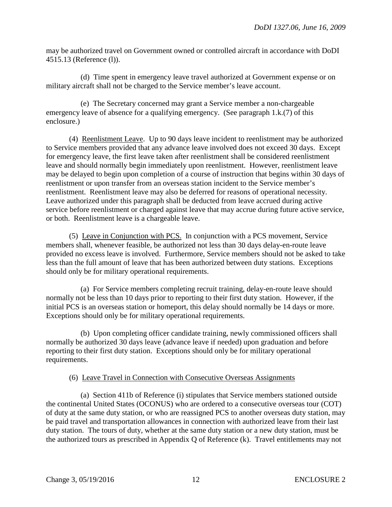may be authorized travel on Government owned or controlled aircraft in accordance with DoDI 4515.13 (Reference (l)).

 (d) Time spent in emergency leave travel authorized at Government expense or on military aircraft shall not be charged to the Service member's leave account.

 (e) The Secretary concerned may grant a Service member a non-chargeable emergency leave of absence for a qualifying emergency. (See paragraph 1.k.(7) of this enclosure.)

 (4) Reenlistment Leave. Up to 90 days leave incident to reenlistment may be authorized to Service members provided that any advance leave involved does not exceed 30 days. Except for emergency leave, the first leave taken after reenlistment shall be considered reenlistment leave and should normally begin immediately upon reenlistment. However, reenlistment leave may be delayed to begin upon completion of a course of instruction that begins within 30 days of reenlistment or upon transfer from an overseas station incident to the Service member's reenlistment. Reenlistment leave may also be deferred for reasons of operational necessity. Leave authorized under this paragraph shall be deducted from leave accrued during active service before reenlistment or charged against leave that may accrue during future active service, or both. Reenlistment leave is a chargeable leave.

 (5) Leave in Conjunction with PCS. In conjunction with a PCS movement, Service members shall, whenever feasible, be authorized not less than 30 days delay-en-route leave provided no excess leave is involved. Furthermore, Service members should not be asked to take less than the full amount of leave that has been authorized between duty stations. Exceptions should only be for military operational requirements.

 (a) For Service members completing recruit training, delay-en-route leave should normally not be less than 10 days prior to reporting to their first duty station. However, if the initial PCS is an overseas station or homeport, this delay should normally be 14 days or more. Exceptions should only be for military operational requirements.

 (b) Upon completing officer candidate training, newly commissioned officers shall normally be authorized 30 days leave (advance leave if needed) upon graduation and before reporting to their first duty station. Exceptions should only be for military operational requirements.

# (6) Leave Travel in Connection with Consecutive Overseas Assignments

 (a) Section 411b of Reference (i) stipulates that Service members stationed outside the continental United States (OCONUS) who are ordered to a consecutive overseas tour (COT) of duty at the same duty station, or who are reassigned PCS to another overseas duty station, may be paid travel and transportation allowances in connection with authorized leave from their last duty station. The tours of duty, whether at the same duty station or a new duty station, must be the authorized tours as prescribed in Appendix Q of Reference (k). Travel entitlements may not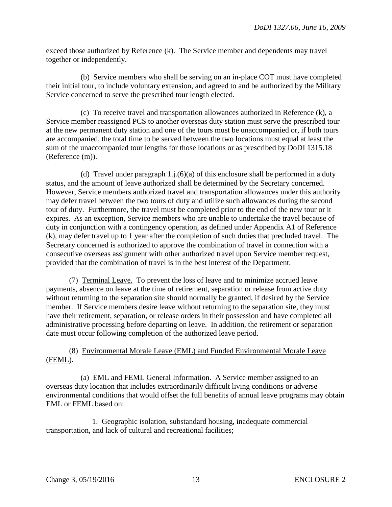exceed those authorized by Reference (k). The Service member and dependents may travel together or independently.

 (b) Service members who shall be serving on an in-place COT must have completed their initial tour, to include voluntary extension, and agreed to and be authorized by the Military Service concerned to serve the prescribed tour length elected.

 (c) To receive travel and transportation allowances authorized in Reference (k), a Service member reassigned PCS to another overseas duty station must serve the prescribed tour at the new permanent duty station and one of the tours must be unaccompanied or, if both tours are accompanied, the total time to be served between the two locations must equal at least the sum of the unaccompanied tour lengths for those locations or as prescribed by DoDI 1315.18 (Reference (m)).

(d) Travel under paragraph  $1.$ j. $(6)(a)$  of this enclosure shall be performed in a duty status, and the amount of leave authorized shall be determined by the Secretary concerned. However, Service members authorized travel and transportation allowances under this authority may defer travel between the two tours of duty and utilize such allowances during the second tour of duty. Furthermore, the travel must be completed prior to the end of the new tour or it expires. As an exception, Service members who are unable to undertake the travel because of duty in conjunction with a contingency operation, as defined under Appendix A1 of Reference (k), may defer travel up to 1 year after the completion of such duties that precluded travel. The Secretary concerned is authorized to approve the combination of travel in connection with a consecutive overseas assignment with other authorized travel upon Service member request, provided that the combination of travel is in the best interest of the Department.

 (7) Terminal Leave. To prevent the loss of leave and to minimize accrued leave payments, absence on leave at the time of retirement, separation or release from active duty without returning to the separation site should normally be granted, if desired by the Service member. If Service members desire leave without returning to the separation site, they must have their retirement, separation, or release orders in their possession and have completed all administrative processing before departing on leave. In addition, the retirement or separation date must occur following completion of the authorized leave period.

# (8) Environmental Morale Leave (EML) and Funded Environmental Morale Leave (FEML).

 (a) EML and FEML General Information. A Service member assigned to an overseas duty location that includes extraordinarily difficult living conditions or adverse environmental conditions that would offset the full benefits of annual leave programs may obtain EML or FEML based on:

 1. Geographic isolation, substandard housing, inadequate commercial transportation, and lack of cultural and recreational facilities;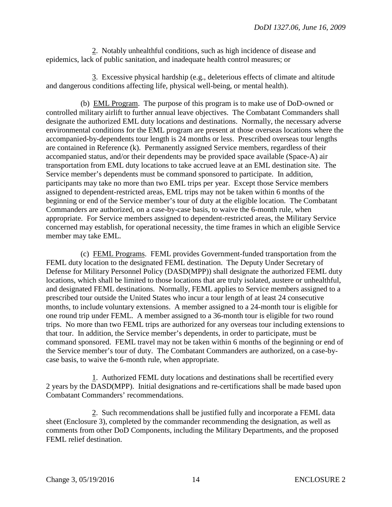2. Notably unhealthful conditions, such as high incidence of disease and epidemics, lack of public sanitation, and inadequate health control measures; or

 3. Excessive physical hardship (e.g., deleterious effects of climate and altitude and dangerous conditions affecting life, physical well-being, or mental health).

 (b) EML Program. The purpose of this program is to make use of DoD-owned or controlled military airlift to further annual leave objectives. The Combatant Commanders shall designate the authorized EML duty locations and destinations. Normally, the necessary adverse environmental conditions for the EML program are present at those overseas locations where the accompanied-by-dependents tour length is 24 months or less. Prescribed overseas tour lengths are contained in Reference (k). Permanently assigned Service members, regardless of their accompanied status, and/or their dependents may be provided space available (Space-A) air transportation from EML duty locations to take accrued leave at an EML destination site. The Service member's dependents must be command sponsored to participate. In addition, participants may take no more than two EML trips per year. Except those Service members assigned to dependent-restricted areas, EML trips may not be taken within 6 months of the beginning or end of the Service member's tour of duty at the eligible location. The Combatant Commanders are authorized, on a case-by-case basis, to waive the 6-month rule, when appropriate. For Service members assigned to dependent-restricted areas, the Military Service concerned may establish, for operational necessity, the time frames in which an eligible Service member may take EML.

 (c) FEML Programs. FEML provides Government-funded transportation from the FEML duty location to the designated FEML destination. The Deputy Under Secretary of Defense for Military Personnel Policy (DASD(MPP)) shall designate the authorized FEML duty locations, which shall be limited to those locations that are truly isolated, austere or unhealthful, and designated FEML destinations. Normally, FEML applies to Service members assigned to a prescribed tour outside the United States who incur a tour length of at least 24 consecutive months, to include voluntary extensions. A member assigned to a 24-month tour is eligible for one round trip under FEML. A member assigned to a 36-month tour is eligible for two round trips. No more than two FEML trips are authorized for any overseas tour including extensions to that tour. In addition, the Service member's dependents, in order to participate, must be command sponsored. FEML travel may not be taken within 6 months of the beginning or end of the Service member's tour of duty. The Combatant Commanders are authorized, on a case-bycase basis, to waive the 6-month rule, when appropriate.

 1. Authorized FEML duty locations and destinations shall be recertified every 2 years by the DASD(MPP). Initial designations and re-certifications shall be made based upon Combatant Commanders' recommendations.

 2. Such recommendations shall be justified fully and incorporate a FEML data sheet (Enclosure 3), completed by the commander recommending the designation, as well as comments from other DoD Components, including the Military Departments, and the proposed FEML relief destination.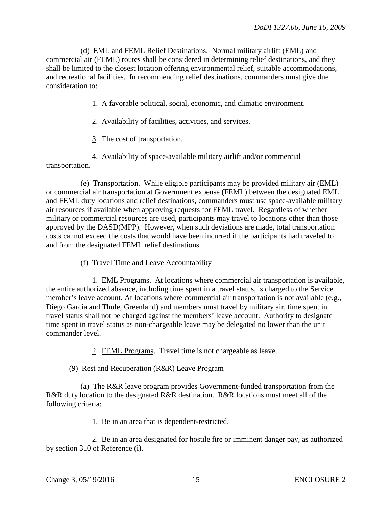(d) EML and FEML Relief Destinations. Normal military airlift (EML) and commercial air (FEML) routes shall be considered in determining relief destinations, and they shall be limited to the closest location offering environmental relief, suitable accommodations, and recreational facilities. In recommending relief destinations, commanders must give due consideration to:

1. A favorable political, social, economic, and climatic environment.

- 2. Availability of facilities, activities, and services.
- 3. The cost of transportation.

 4. Availability of space-available military airlift and/or commercial transportation.

 (e) Transportation. While eligible participants may be provided military air (EML) or commercial air transportation at Government expense (FEML) between the designated EML and FEML duty locations and relief destinations, commanders must use space-available military air resources if available when approving requests for FEML travel. Regardless of whether military or commercial resources are used, participants may travel to locations other than those approved by the DASD(MPP). However, when such deviations are made, total transportation costs cannot exceed the costs that would have been incurred if the participants had traveled to and from the designated FEML relief destinations.

(f) Travel Time and Leave Accountability

 1. EML Programs. At locations where commercial air transportation is available, the entire authorized absence, including time spent in a travel status, is charged to the Service member's leave account. At locations where commercial air transportation is not available (e.g., Diego Garcia and Thule, Greenland) and members must travel by military air, time spent in travel status shall not be charged against the members' leave account. Authority to designate time spent in travel status as non-chargeable leave may be delegated no lower than the unit commander level.

2. FEML Programs. Travel time is not chargeable as leave.

#### (9) Rest and Recuperation (R&R) Leave Program

 (a) The R&R leave program provides Government-funded transportation from the R&R duty location to the designated R&R destination. R&R locations must meet all of the following criteria:

1. Be in an area that is dependent-restricted.

2. Be in an area designated for hostile fire or imminent danger pay, as authorized by section 310 of Reference (i).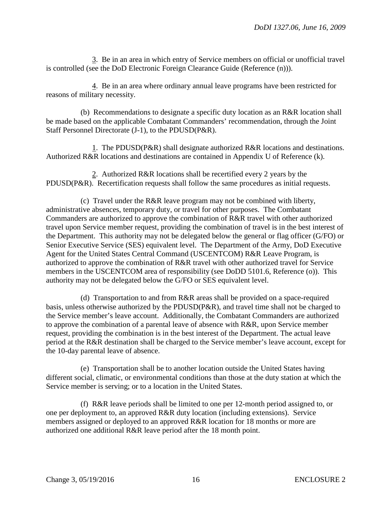3. Be in an area in which entry of Service members on official or unofficial travel is controlled (see the DoD Electronic Foreign Clearance Guide (Reference (n))).

 4. Be in an area where ordinary annual leave programs have been restricted for reasons of military necessity.

 (b) Recommendations to designate a specific duty location as an R&R location shall be made based on the applicable Combatant Commanders' recommendation, through the Joint Staff Personnel Directorate (J-1), to the PDUSD(P&R).

 1. The PDUSD(P&R) shall designate authorized R&R locations and destinations. Authorized R&R locations and destinations are contained in Appendix U of Reference (k).

 2. Authorized R&R locations shall be recertified every 2 years by the PDUSD(P&R). Recertification requests shall follow the same procedures as initial requests.

 (c) Travel under the R&R leave program may not be combined with liberty, administrative absences, temporary duty, or travel for other purposes. The Combatant Commanders are authorized to approve the combination of R&R travel with other authorized travel upon Service member request, providing the combination of travel is in the best interest of the Department. This authority may not be delegated below the general or flag officer (G/FO) or Senior Executive Service (SES) equivalent level. The Department of the Army, DoD Executive Agent for the United States Central Command (USCENTCOM) R&R Leave Program, is authorized to approve the combination of R&R travel with other authorized travel for Service members in the USCENTCOM area of responsibility (see DoDD 5101.6, Reference (o)). This authority may not be delegated below the G/FO or SES equivalent level.

 (d) Transportation to and from R&R areas shall be provided on a space-required basis, unless otherwise authorized by the PDUSD(P&R), and travel time shall not be charged to the Service member's leave account. Additionally, the Combatant Commanders are authorized to approve the combination of a parental leave of absence with R&R, upon Service member request, providing the combination is in the best interest of the Department. The actual leave period at the R&R destination shall be charged to the Service member's leave account, except for the 10-day parental leave of absence.

 (e) Transportation shall be to another location outside the United States having different social, climatic, or environmental conditions than those at the duty station at which the Service member is serving; or to a location in the United States.

 (f) R&R leave periods shall be limited to one per 12-month period assigned to, or one per deployment to, an approved R&R duty location (including extensions). Service members assigned or deployed to an approved R&R location for 18 months or more are authorized one additional R&R leave period after the 18 month point.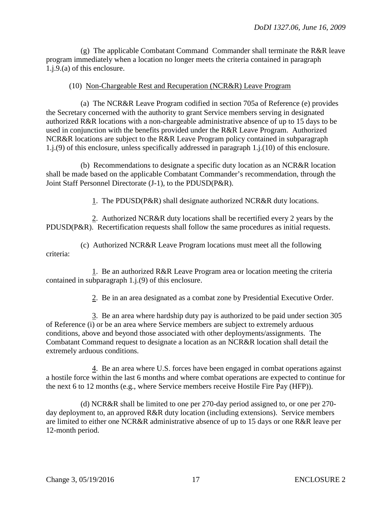(g) The applicable Combatant Command Commander shall terminate the R&R leave program immediately when a location no longer meets the criteria contained in paragraph 1.j.9.(a) of this enclosure.

#### (10) Non-Chargeable Rest and Recuperation (NCR&R) Leave Program

 (a) The NCR&R Leave Program codified in section 705a of Reference (e) provides the Secretary concerned with the authority to grant Service members serving in designated authorized R&R locations with a non-chargeable administrative absence of up to 15 days to be used in conjunction with the benefits provided under the R&R Leave Program. Authorized NCR&R locations are subject to the R&R Leave Program policy contained in subparagraph 1.j.(9) of this enclosure, unless specifically addressed in paragraph 1.j.(10) of this enclosure.

 (b) Recommendations to designate a specific duty location as an NCR&R location shall be made based on the applicable Combatant Commander's recommendation, through the Joint Staff Personnel Directorate (J-1), to the PDUSD(P&R).

1. The PDUSD(P&R) shall designate authorized NCR&R duty locations.

 2. Authorized NCR&R duty locations shall be recertified every 2 years by the PDUSD(P&R). Recertification requests shall follow the same procedures as initial requests.

 (c) Authorized NCR&R Leave Program locations must meet all the following criteria:

 1. Be an authorized R&R Leave Program area or location meeting the criteria contained in subparagraph 1.j.(9) of this enclosure.

2. Be in an area designated as a combat zone by Presidential Executive Order.

 3. Be an area where hardship duty pay is authorized to be paid under section 305 of Reference (i) or be an area where Service members are subject to extremely arduous conditions, above and beyond those associated with other deployments/assignments. The Combatant Command request to designate a location as an NCR&R location shall detail the extremely arduous conditions.

 4. Be an area where U.S. forces have been engaged in combat operations against a hostile force within the last 6 months and where combat operations are expected to continue for the next 6 to 12 months (e.g., where Service members receive Hostile Fire Pay (HFP)).

 (d) NCR&R shall be limited to one per 270-day period assigned to, or one per 270 day deployment to, an approved R&R duty location (including extensions). Service members are limited to either one NCR&R administrative absence of up to 15 days or one R&R leave per 12-month period.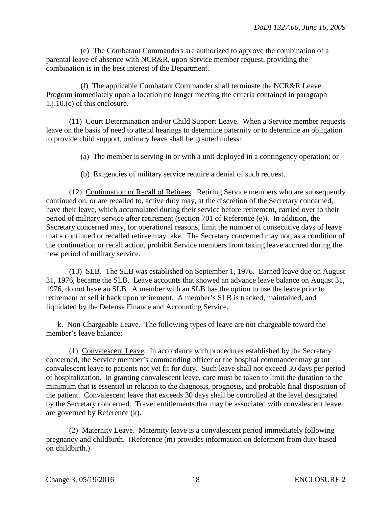(e) The Combatant Commanders are authorized to approve the combination of a parental leave of absence with NCR&R, upon Service member request, providing the combination is in the best interest of the Department.

 (f) The applicable Combatant Commander shall terminate the NCR&R Leave Program immediately upon a location no longer meeting the criteria contained in paragraph 1.j.10.(c) of this enclosure.

 (11) Court Determination and/or Child Support Leave. When a Service member requests leave on the basis of need to attend hearings to determine paternity or to determine an obligation to provide child support, ordinary leave shall be granted unless:

(a) The member is serving in or with a unit deployed in a contingency operation; or

(b) Exigencies of military service require a denial of such request.

 (12) Continuation or Recall of Retirees. Retiring Service members who are subsequently continued on, or are recalled to, active duty may, at the discretion of the Secretary concerned, have their leave, which accumulated during their service before retirement, carried over to their period of military service after retirement (section 701 of Reference (e)). In addition, the Secretary concerned may, for operational reasons, limit the number of consecutive days of leave that a continued or recalled retiree may take. The Secretary concerned may not, as a condition of the continuation or recall action, prohibit Service members from taking leave accrued during the new period of military service.

 (13) SLB. The SLB was established on September 1, 1976. Earned leave due on August 31, 1976, became the SLB. Leave accounts that showed an advance leave balance on August 31, 1976, do not have an SLB. A member with an SLB has the option to use the leave prior to retirement or sell it back upon retirement. A member's SLB is tracked, maintained, and liquidated by the Defense Finance and Accounting Service.

 k. Non-Chargeable Leave. The following types of leave are not chargeable toward the member's leave balance:

 (1) Convalescent Leave. In accordance with procedures established by the Secretary concerned, the Service member's commanding officer or the hospital commander may grant convalescent leave to patients not yet fit for duty. Such leave shall not exceed 30 days per period of hospitalization. In granting convalescent leave, care must be taken to limit the duration to the minimum that is essential in relation to the diagnosis, prognosis, and probable final disposition of the patient. Convalescent leave that exceeds 30 days shall be controlled at the level designated by the Secretary concerned. Travel entitlements that may be associated with convalescent leave are governed by Reference (k).

 (2) Maternity Leave. Maternity leave is a convalescent period immediately following pregnancy and childbirth. (Reference (m) provides information on deferment from duty based on childbirth.)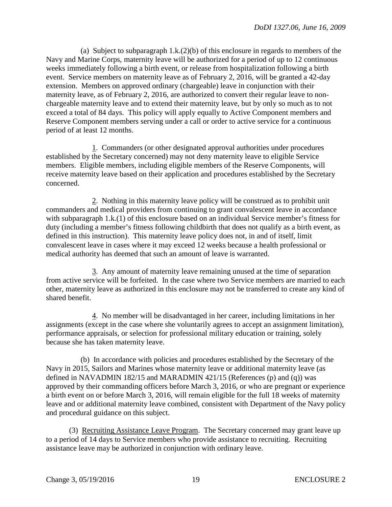(a) Subject to subparagraph 1.k.(2)(b) of this enclosure in regards to members of the Navy and Marine Corps, maternity leave will be authorized for a period of up to 12 continuous weeks immediately following a birth event, or release from hospitalization following a birth event. Service members on maternity leave as of February 2, 2016, will be granted a 42-day extension. Members on approved ordinary (chargeable) leave in conjunction with their maternity leave, as of February 2, 2016, are authorized to convert their regular leave to nonchargeable maternity leave and to extend their maternity leave, but by only so much as to not exceed a total of 84 days. This policy will apply equally to Active Component members and Reserve Component members serving under a call or order to active service for a continuous period of at least 12 months.

 1. Commanders (or other designated approval authorities under procedures established by the Secretary concerned) may not deny maternity leave to eligible Service members. Eligible members, including eligible members of the Reserve Components, will receive maternity leave based on their application and procedures established by the Secretary concerned.

 2. Nothing in this maternity leave policy will be construed as to prohibit unit commanders and medical providers from continuing to grant convalescent leave in accordance with subparagraph 1.k.(1) of this enclosure based on an individual Service member's fitness for duty (including a member's fitness following childbirth that does not qualify as a birth event, as defined in this instruction). This maternity leave policy does not, in and of itself, limit convalescent leave in cases where it may exceed 12 weeks because a health professional or medical authority has deemed that such an amount of leave is warranted.

 3. Any amount of maternity leave remaining unused at the time of separation from active service will be forfeited. In the case where two Service members are married to each other, maternity leave as authorized in this enclosure may not be transferred to create any kind of shared benefit.

 4. No member will be disadvantaged in her career, including limitations in her assignments (except in the case where she voluntarily agrees to accept an assignment limitation), performance appraisals, or selection for professional military education or training, solely because she has taken maternity leave.

 (b) In accordance with policies and procedures established by the Secretary of the Navy in 2015, Sailors and Marines whose maternity leave or additional maternity leave (as defined in NAVADMIN 182/15 and MARADMIN 421/15 (References (p) and (q)) was approved by their commanding officers before March 3, 2016, or who are pregnant or experience a birth event on or before March 3, 2016, will remain eligible for the full 18 weeks of maternity leave and or additional maternity leave combined, consistent with Department of the Navy policy and procedural guidance on this subject.

 (3) Recruiting Assistance Leave Program. The Secretary concerned may grant leave up to a period of 14 days to Service members who provide assistance to recruiting. Recruiting assistance leave may be authorized in conjunction with ordinary leave.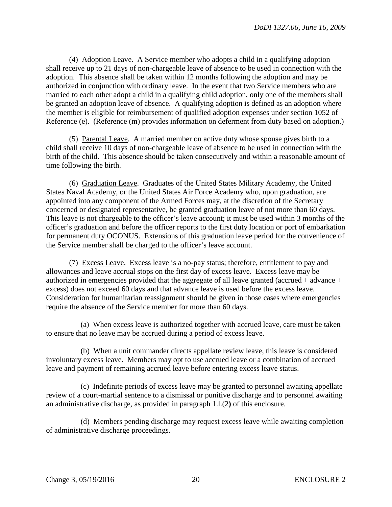(4) Adoption Leave. A Service member who adopts a child in a qualifying adoption shall receive up to 21 days of non-chargeable leave of absence to be used in connection with the adoption. This absence shall be taken within 12 months following the adoption and may be authorized in conjunction with ordinary leave. In the event that two Service members who are married to each other adopt a child in a qualifying child adoption, only one of the members shall be granted an adoption leave of absence. A qualifying adoption is defined as an adoption where the member is eligible for reimbursement of qualified adoption expenses under section 1052 of Reference (e). (Reference (m) provides information on deferment from duty based on adoption.)

 (5) Parental Leave. A married member on active duty whose spouse gives birth to a child shall receive 10 days of non-chargeable leave of absence to be used in connection with the birth of the child. This absence should be taken consecutively and within a reasonable amount of time following the birth.

 (6) Graduation Leave. Graduates of the United States Military Academy, the United States Naval Academy, or the United States Air Force Academy who, upon graduation, are appointed into any component of the Armed Forces may, at the discretion of the Secretary concerned or designated representative, be granted graduation leave of not more than 60 days. This leave is not chargeable to the officer's leave account; it must be used within 3 months of the officer's graduation and before the officer reports to the first duty location or port of embarkation for permanent duty OCONUS. Extensions of this graduation leave period for the convenience of the Service member shall be charged to the officer's leave account.

 (7) Excess Leave. Excess leave is a no-pay status; therefore, entitlement to pay and allowances and leave accrual stops on the first day of excess leave. Excess leave may be authorized in emergencies provided that the aggregate of all leave granted (accrued + advance + excess) does not exceed 60 days and that advance leave is used before the excess leave. Consideration for humanitarian reassignment should be given in those cases where emergencies require the absence of the Service member for more than 60 days.

 (a) When excess leave is authorized together with accrued leave, care must be taken to ensure that no leave may be accrued during a period of excess leave.

 (b) When a unit commander directs appellate review leave, this leave is considered involuntary excess leave. Members may opt to use accrued leave or a combination of accrued leave and payment of remaining accrued leave before entering excess leave status.

 (c) Indefinite periods of excess leave may be granted to personnel awaiting appellate review of a court-martial sentence to a dismissal or punitive discharge and to personnel awaiting an administrative discharge, as provided in paragraph 1.l.(2**)** of this enclosure.

 (d) Members pending discharge may request excess leave while awaiting completion of administrative discharge proceedings.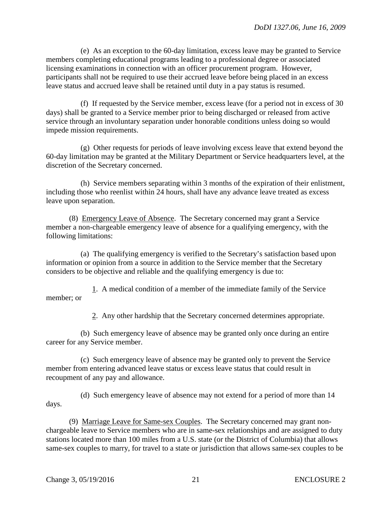(e) As an exception to the 60-day limitation, excess leave may be granted to Service members completing educational programs leading to a professional degree or associated licensing examinations in connection with an officer procurement program. However, participants shall not be required to use their accrued leave before being placed in an excess leave status and accrued leave shall be retained until duty in a pay status is resumed.

 (f) If requested by the Service member, excess leave (for a period not in excess of 30 days) shall be granted to a Service member prior to being discharged or released from active service through an involuntary separation under honorable conditions unless doing so would impede mission requirements.

 (g) Other requests for periods of leave involving excess leave that extend beyond the 60-day limitation may be granted at the Military Department or Service headquarters level, at the discretion of the Secretary concerned.

 (h) Service members separating within 3 months of the expiration of their enlistment, including those who reenlist within 24 hours, shall have any advance leave treated as excess leave upon separation.

 (8) Emergency Leave of Absence. The Secretary concerned may grant a Service member a non-chargeable emergency leave of absence for a qualifying emergency, with the following limitations:

 (a) The qualifying emergency is verified to the Secretary's satisfaction based upon information or opinion from a source in addition to the Service member that the Secretary considers to be objective and reliable and the qualifying emergency is due to:

 1. A medical condition of a member of the immediate family of the Service member; or

2. Any other hardship that the Secretary concerned determines appropriate.

 (b) Such emergency leave of absence may be granted only once during an entire career for any Service member.

 (c) Such emergency leave of absence may be granted only to prevent the Service member from entering advanced leave status or excess leave status that could result in recoupment of any pay and allowance.

 (d) Such emergency leave of absence may not extend for a period of more than 14 days.

(9) Marriage Leave for Same-sex Couples. The Secretary concerned may grant nonchargeable leave to Service members who are in same-sex relationships and are assigned to duty stations located more than 100 miles from a U.S. state (or the District of Columbia) that allows same-sex couples to marry, for travel to a state or jurisdiction that allows same-sex couples to be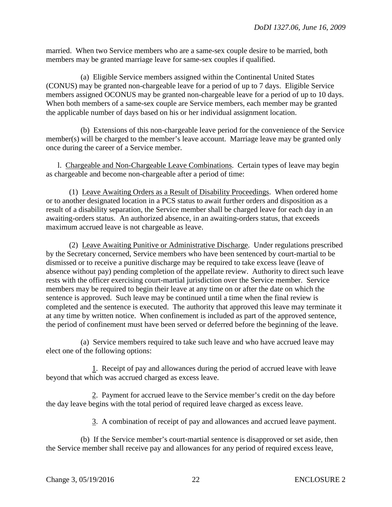married. When two Service members who are a same-sex couple desire to be married, both members may be granted marriage leave for same-sex couples if qualified.

(a) Eligible Service members assigned within the Continental United States (CONUS) may be granted non-chargeable leave for a period of up to 7 days. Eligible Service members assigned OCONUS may be granted non-chargeable leave for a period of up to 10 days. When both members of a same-sex couple are Service members, each member may be granted the applicable number of days based on his or her individual assignment location.

(b) Extensions of this non-chargeable leave period for the convenience of the Service member(s) will be charged to the member's leave account. Marriage leave may be granted only once during the career of a Service member.

 l. Chargeable and Non-Chargeable Leave Combinations. Certain types of leave may begin as chargeable and become non-chargeable after a period of time:

 (1) Leave Awaiting Orders as a Result of Disability Proceedings. When ordered home or to another designated location in a PCS status to await further orders and disposition as a result of a disability separation, the Service member shall be charged leave for each day in an awaiting-orders status. An authorized absence, in an awaiting-orders status, that exceeds maximum accrued leave is not chargeable as leave.

 (2) Leave Awaiting Punitive or Administrative Discharge. Under regulations prescribed by the Secretary concerned, Service members who have been sentenced by court-martial to be dismissed or to receive a punitive discharge may be required to take excess leave (leave of absence without pay) pending completion of the appellate review. Authority to direct such leave rests with the officer exercising court-martial jurisdiction over the Service member. Service members may be required to begin their leave at any time on or after the date on which the sentence is approved. Such leave may be continued until a time when the final review is completed and the sentence is executed. The authority that approved this leave may terminate it at any time by written notice. When confinement is included as part of the approved sentence, the period of confinement must have been served or deferred before the beginning of the leave.

 (a) Service members required to take such leave and who have accrued leave may elect one of the following options:

 1. Receipt of pay and allowances during the period of accrued leave with leave beyond that which was accrued charged as excess leave.

 2. Payment for accrued leave to the Service member's credit on the day before the day leave begins with the total period of required leave charged as excess leave.

3. A combination of receipt of pay and allowances and accrued leave payment.

 (b) If the Service member's court-martial sentence is disapproved or set aside, then the Service member shall receive pay and allowances for any period of required excess leave,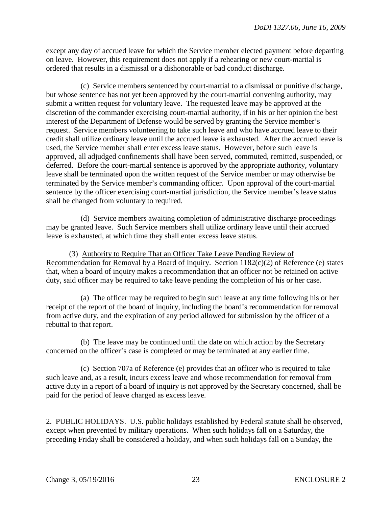except any day of accrued leave for which the Service member elected payment before departing on leave. However, this requirement does not apply if a rehearing or new court-martial is ordered that results in a dismissal or a dishonorable or bad conduct discharge.

 (c) Service members sentenced by court-martial to a dismissal or punitive discharge, but whose sentence has not yet been approved by the court-martial convening authority, may submit a written request for voluntary leave. The requested leave may be approved at the discretion of the commander exercising court-martial authority, if in his or her opinion the best interest of the Department of Defense would be served by granting the Service member's request. Service members volunteering to take such leave and who have accrued leave to their credit shall utilize ordinary leave until the accrued leave is exhausted. After the accrued leave is used, the Service member shall enter excess leave status. However, before such leave is approved, all adjudged confinements shall have been served, commuted, remitted, suspended, or deferred. Before the court-martial sentence is approved by the appropriate authority, voluntary leave shall be terminated upon the written request of the Service member or may otherwise be terminated by the Service member's commanding officer. Upon approval of the court-martial sentence by the officer exercising court-martial jurisdiction, the Service member's leave status shall be changed from voluntary to required.

 (d) Service members awaiting completion of administrative discharge proceedings may be granted leave. Such Service members shall utilize ordinary leave until their accrued leave is exhausted, at which time they shall enter excess leave status.

 (3) Authority to Require That an Officer Take Leave Pending Review of Recommendation for Removal by a Board of Inquiry. Section 1182(c)(2) of Reference (e) states that, when a board of inquiry makes a recommendation that an officer not be retained on active duty, said officer may be required to take leave pending the completion of his or her case.

 (a) The officer may be required to begin such leave at any time following his or her receipt of the report of the board of inquiry, including the board's recommendation for removal from active duty, and the expiration of any period allowed for submission by the officer of a rebuttal to that report.

 (b) The leave may be continued until the date on which action by the Secretary concerned on the officer's case is completed or may be terminated at any earlier time.

 (c) Section 707a of Reference (e) provides that an officer who is required to take such leave and, as a result, incurs excess leave and whose recommendation for removal from active duty in a report of a board of inquiry is not approved by the Secretary concerned, shall be paid for the period of leave charged as excess leave.

2. PUBLIC HOLIDAYS. U.S. public holidays established by Federal statute shall be observed, except when prevented by military operations. When such holidays fall on a Saturday, the preceding Friday shall be considered a holiday, and when such holidays fall on a Sunday, the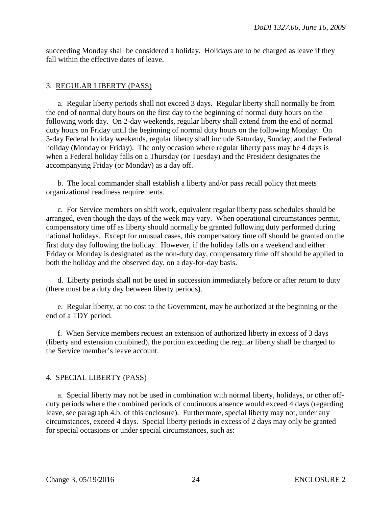succeeding Monday shall be considered a holiday. Holidays are to be charged as leave if they fall within the effective dates of leave.

# 3. REGULAR LIBERTY (PASS)

a. Regular liberty periods shall not exceed 3 days. Regular liberty shall normally be from the end of normal duty hours on the first day to the beginning of normal duty hours on the following work day. On 2-day weekends, regular liberty shall extend from the end of normal duty hours on Friday until the beginning of normal duty hours on the following Monday. On 3-day Federal holiday weekends, regular liberty shall include Saturday, Sunday, and the Federal holiday (Monday or Friday). The only occasion where regular liberty pass may be 4 days is when a Federal holiday falls on a Thursday (or Tuesday) and the President designates the accompanying Friday (or Monday) as a day off.

 b. The local commander shall establish a liberty and/or pass recall policy that meets organizational readiness requirements.

 c. For Service members on shift work, equivalent regular liberty pass schedules should be arranged, even though the days of the week may vary. When operational circumstances permit, compensatory time off as liberty should normally be granted following duty performed during national holidays. Except for unusual cases, this compensatory time off should be granted on the first duty day following the holiday. However, if the holiday falls on a weekend and either Friday or Monday is designated as the non-duty day, compensatory time off should be applied to both the holiday and the observed day, on a day-for-day basis.

 d. Liberty periods shall not be used in succession immediately before or after return to duty (there must be a duty day between liberty periods).

 e. Regular liberty, at no cost to the Government, may be authorized at the beginning or the end of a TDY period.

 f. When Service members request an extension of authorized liberty in excess of 3 days (liberty and extension combined), the portion exceeding the regular liberty shall be charged to the Service member's leave account.

# 4. SPECIAL LIBERTY (PASS)

a. Special liberty may not be used in combination with normal liberty, holidays, or other offduty periods where the combined periods of continuous absence would exceed 4 days (regarding leave, see paragraph 4.b. of this enclosure). Furthermore, special liberty may not, under any circumstances, exceed 4 days. Special liberty periods in excess of 2 days may only be granted for special occasions or under special circumstances, such as: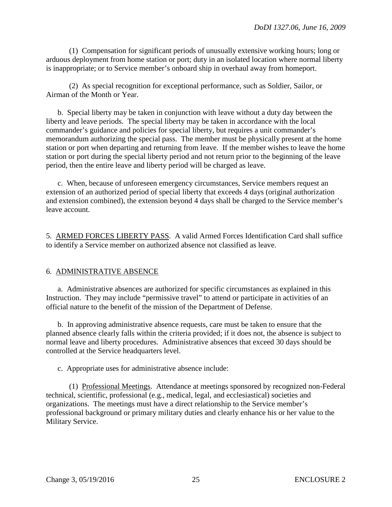(1) Compensation for significant periods of unusually extensive working hours; long or arduous deployment from home station or port; duty in an isolated location where normal liberty is inappropriate; or to Service member's onboard ship in overhaul away from homeport.

 (2) As special recognition for exceptional performance, such as Soldier, Sailor, or Airman of the Month or Year.

 b. Special liberty may be taken in conjunction with leave without a duty day between the liberty and leave periods. The special liberty may be taken in accordance with the local commander's guidance and policies for special liberty, but requires a unit commander's memorandum authorizing the special pass. The member must be physically present at the home station or port when departing and returning from leave. If the member wishes to leave the home station or port during the special liberty period and not return prior to the beginning of the leave period, then the entire leave and liberty period will be charged as leave.

c. When, because of unforeseen emergency circumstances, Service members request an extension of an authorized period of special liberty that exceeds 4 days (original authorization and extension combined), the extension beyond 4 days shall be charged to the Service member's leave account.

5. ARMED FORCES LIBERTY PASS. A valid Armed Forces Identification Card shall suffice to identify a Service member on authorized absence not classified as leave.

# 6. ADMINISTRATIVE ABSENCE

a. Administrative absences are authorized for specific circumstances as explained in this Instruction. They may include "permissive travel" to attend or participate in activities of an official nature to the benefit of the mission of the Department of Defense.

 b. In approving administrative absence requests, care must be taken to ensure that the planned absence clearly falls within the criteria provided; if it does not, the absence is subject to normal leave and liberty procedures. Administrative absences that exceed 30 days should be controlled at the Service headquarters level.

c. Appropriate uses for administrative absence include:

 (1) Professional Meetings. Attendance at meetings sponsored by recognized non-Federal technical, scientific, professional (e.g., medical, legal, and ecclesiastical) societies and organizations. The meetings must have a direct relationship to the Service member's professional background or primary military duties and clearly enhance his or her value to the Military Service.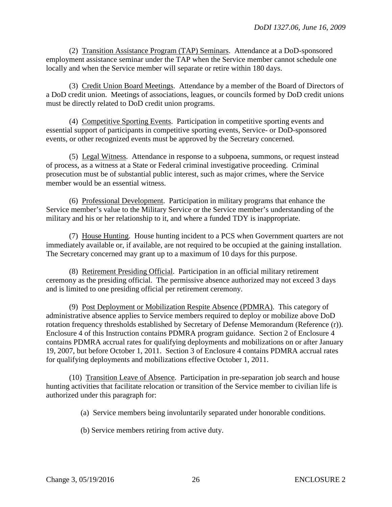(2) Transition Assistance Program (TAP) Seminars. Attendance at a DoD-sponsored employment assistance seminar under the TAP when the Service member cannot schedule one locally and when the Service member will separate or retire within 180 days.

 (3) Credit Union Board Meetings. Attendance by a member of the Board of Directors of a DoD credit union. Meetings of associations, leagues, or councils formed by DoD credit unions must be directly related to DoD credit union programs.

 (4) Competitive Sporting Events. Participation in competitive sporting events and essential support of participants in competitive sporting events, Service- or DoD-sponsored events, or other recognized events must be approved by the Secretary concerned.

 (5) Legal Witness. Attendance in response to a subpoena, summons, or request instead of process, as a witness at a State or Federal criminal investigative proceeding. Criminal prosecution must be of substantial public interest, such as major crimes, where the Service member would be an essential witness.

 (6) Professional Development. Participation in military programs that enhance the Service member's value to the Military Service or the Service member's understanding of the military and his or her relationship to it, and where a funded TDY is inappropriate.

 (7) House Hunting. House hunting incident to a PCS when Government quarters are not immediately available or, if available, are not required to be occupied at the gaining installation. The Secretary concerned may grant up to a maximum of 10 days for this purpose.

 (8) Retirement Presiding Official. Participation in an official military retirement ceremony as the presiding official. The permissive absence authorized may not exceed 3 days and is limited to one presiding official per retirement ceremony.

 (9) Post Deployment or Mobilization Respite Absence (PDMRA). This category of administrative absence applies to Service members required to deploy or mobilize above DoD rotation frequency thresholds established by Secretary of Defense Memorandum (Reference (r)). Enclosure 4 of this Instruction contains PDMRA program guidance. Section 2 of Enclosure 4 contains PDMRA accrual rates for qualifying deployments and mobilizations on or after January 19, 2007, but before October 1, 2011. Section 3 of Enclosure 4 contains PDMRA accrual rates for qualifying deployments and mobilizations effective October 1, 2011.

 (10) Transition Leave of Absence. Participation in pre-separation job search and house hunting activities that facilitate relocation or transition of the Service member to civilian life is authorized under this paragraph for:

(a) Service members being involuntarily separated under honorable conditions.

(b) Service members retiring from active duty.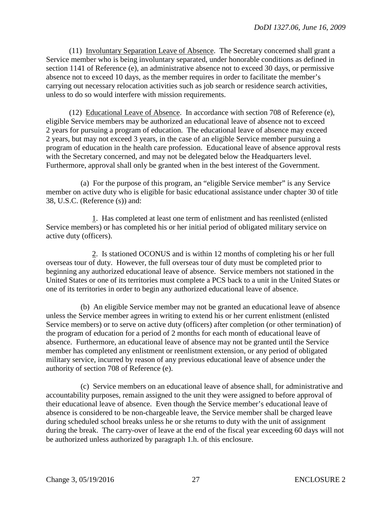(11) Involuntary Separation Leave of Absence. The Secretary concerned shall grant a Service member who is being involuntary separated, under honorable conditions as defined in section 1141 of Reference (e), an administrative absence not to exceed 30 days, or permissive absence not to exceed 10 days, as the member requires in order to facilitate the member's carrying out necessary relocation activities such as job search or residence search activities, unless to do so would interfere with mission requirements.

 (12) Educational Leave of Absence. In accordance with section 708 of Reference (e), eligible Service members may be authorized an educational leave of absence not to exceed 2 years for pursuing a program of education. The educational leave of absence may exceed 2 years, but may not exceed 3 years, in the case of an eligible Service member pursuing a program of education in the health care profession. Educational leave of absence approval rests with the Secretary concerned, and may not be delegated below the Headquarters level. Furthermore, approval shall only be granted when in the best interest of the Government.

 (a) For the purpose of this program, an "eligible Service member" is any Service member on active duty who is eligible for basic educational assistance under chapter 30 of title 38, U.S.C. (Reference (s)) and:

 1. Has completed at least one term of enlistment and has reenlisted (enlisted Service members) or has completed his or her initial period of obligated military service on active duty (officers).

 2. Is stationed OCONUS and is within 12 months of completing his or her full overseas tour of duty. However, the full overseas tour of duty must be completed prior to beginning any authorized educational leave of absence. Service members not stationed in the United States or one of its territories must complete a PCS back to a unit in the United States or one of its territories in order to begin any authorized educational leave of absence.

 (b) An eligible Service member may not be granted an educational leave of absence unless the Service member agrees in writing to extend his or her current enlistment (enlisted Service members) or to serve on active duty (officers) after completion (or other termination) of the program of education for a period of 2 months for each month of educational leave of absence. Furthermore, an educational leave of absence may not be granted until the Service member has completed any enlistment or reenlistment extension, or any period of obligated military service, incurred by reason of any previous educational leave of absence under the authority of section 708 of Reference (e).

 (c) Service members on an educational leave of absence shall, for administrative and accountability purposes, remain assigned to the unit they were assigned to before approval of their educational leave of absence. Even though the Service member's educational leave of absence is considered to be non-chargeable leave, the Service member shall be charged leave during scheduled school breaks unless he or she returns to duty with the unit of assignment during the break. The carry-over of leave at the end of the fiscal year exceeding 60 days will not be authorized unless authorized by paragraph 1.h. of this enclosure.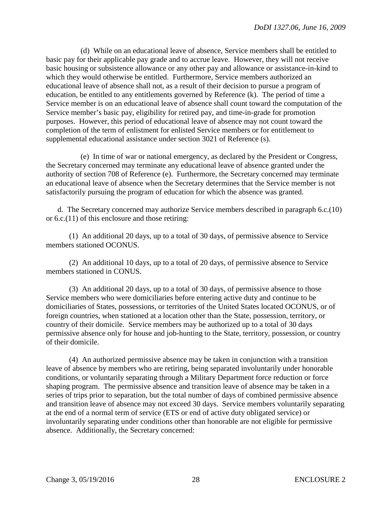(d) While on an educational leave of absence, Service members shall be entitled to basic pay for their applicable pay grade and to accrue leave. However, they will not receive basic housing or subsistence allowance or any other pay and allowance or assistance-in-kind to which they would otherwise be entitled. Furthermore, Service members authorized an educational leave of absence shall not, as a result of their decision to pursue a program of education, be entitled to any entitlements governed by Reference (k). The period of time a Service member is on an educational leave of absence shall count toward the computation of the Service member's basic pay, eligibility for retired pay, and time-in-grade for promotion purposes. However, this period of educational leave of absence may not count toward the completion of the term of enlistment for enlisted Service members or for entitlement to supplemental educational assistance under section 3021 of Reference (s).

 (e) In time of war or national emergency, as declared by the President or Congress, the Secretary concerned may terminate any educational leave of absence granted under the authority of section 708 of Reference (e). Furthermore, the Secretary concerned may terminate an educational leave of absence when the Secretary determines that the Service member is not satisfactorily pursuing the program of education for which the absence was granted.

 d. The Secretary concerned may authorize Service members described in paragraph 6.c.(10) or 6.c.(11) of this enclosure and those retiring:

 (1) An additional 20 days, up to a total of 30 days, of permissive absence to Service members stationed OCONUS.

 (2) An additional 10 days, up to a total of 20 days, of permissive absence to Service members stationed in CONUS.

 (3) An additional 20 days, up to a total of 30 days, of permissive absence to those Service members who were domiciliaries before entering active duty and continue to be domiciliaries of States, possessions, or territories of the United States located OCONUS, or of foreign countries, when stationed at a location other than the State, possession, territory, or country of their domicile. Service members may be authorized up to a total of 30 days permissive absence only for house and job-hunting to the State, territory, possession, or country of their domicile.

 (4) An authorized permissive absence may be taken in conjunction with a transition leave of absence by members who are retiring, being separated involuntarily under honorable conditions, or voluntarily separating through a Military Department force reduction or force shaping program. The permissive absence and transition leave of absence may be taken in a series of trips prior to separation, but the total number of days of combined permissive absence and transition leave of absence may not exceed 30 days. Service members voluntarily separating at the end of a normal term of service (ETS or end of active duty obligated service) or involuntarily separating under conditions other than honorable are not eligible for permissive absence. Additionally, the Secretary concerned: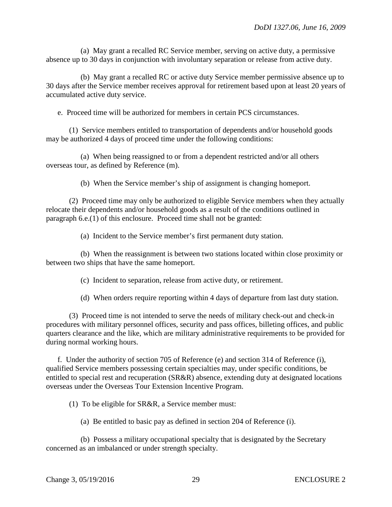(a) May grant a recalled RC Service member, serving on active duty, a permissive absence up to 30 days in conjunction with involuntary separation or release from active duty.

 (b) May grant a recalled RC or active duty Service member permissive absence up to 30 days after the Service member receives approval for retirement based upon at least 20 years of accumulated active duty service.

e. Proceed time will be authorized for members in certain PCS circumstances.

 (1) Service members entitled to transportation of dependents and/or household goods may be authorized 4 days of proceed time under the following conditions:

 (a) When being reassigned to or from a dependent restricted and/or all others overseas tour, as defined by Reference (m).

(b) When the Service member's ship of assignment is changing homeport.

 (2) Proceed time may only be authorized to eligible Service members when they actually relocate their dependents and/or household goods as a result of the conditions outlined in paragraph 6.e.(1) of this enclosure. Proceed time shall not be granted:

(a) Incident to the Service member's first permanent duty station.

 (b) When the reassignment is between two stations located within close proximity or between two ships that have the same homeport.

(c) Incident to separation, release from active duty, or retirement.

(d) When orders require reporting within 4 days of departure from last duty station.

 (3) Proceed time is not intended to serve the needs of military check-out and check-in procedures with military personnel offices, security and pass offices, billeting offices, and public quarters clearance and the like, which are military administrative requirements to be provided for during normal working hours.

 f. Under the authority of section 705 of Reference (e) and section 314 of Reference (i), qualified Service members possessing certain specialties may, under specific conditions, be entitled to special rest and recuperation (SR&R) absence, extending duty at designated locations overseas under the Overseas Tour Extension Incentive Program.

(1) To be eligible for SR&R, a Service member must:

(a) Be entitled to basic pay as defined in section 204 of Reference (i).

 (b) Possess a military occupational specialty that is designated by the Secretary concerned as an imbalanced or under strength specialty.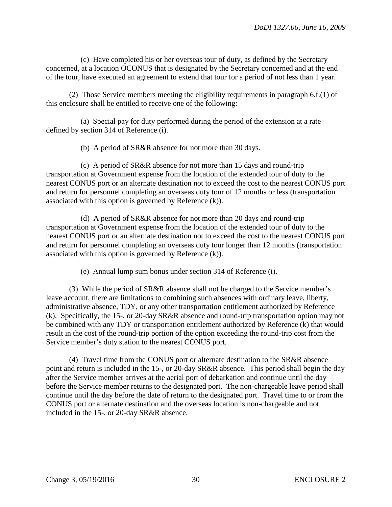(c) Have completed his or her overseas tour of duty, as defined by the Secretary concerned, at a location OCONUS that is designated by the Secretary concerned and at the end of the tour, have executed an agreement to extend that tour for a period of not less than 1 year.

 (2) Those Service members meeting the eligibility requirements in paragraph 6.f.(1) of this enclosure shall be entitled to receive one of the following:

 (a) Special pay for duty performed during the period of the extension at a rate defined by section 314 of Reference (i).

(b) A period of SR&R absence for not more than 30 days.

 (c) A period of SR&R absence for not more than 15 days and round-trip transportation at Government expense from the location of the extended tour of duty to the nearest CONUS port or an alternate destination not to exceed the cost to the nearest CONUS port and return for personnel completing an overseas duty tour of 12 months or less (transportation associated with this option is governed by Reference (k)).

 (d) A period of SR&R absence for not more than 20 days and round-trip transportation at Government expense from the location of the extended tour of duty to the nearest CONUS port or an alternate destination not to exceed the cost to the nearest CONUS port and return for personnel completing an overseas duty tour longer than 12 months (transportation associated with this option is governed by Reference (k)).

(e) Annual lump sum bonus under section 314 of Reference (i).

 (3) While the period of SR&R absence shall not be charged to the Service member's leave account, there are limitations to combining such absences with ordinary leave, liberty, administrative absence, TDY, or any other transportation entitlement authorized by Reference (k). Specifically, the 15-, or 20-day SR&R absence and round-trip transportation option may not be combined with any TDY or transportation entitlement authorized by Reference (k) that would result in the cost of the round-trip portion of the option exceeding the round-trip cost from the Service member's duty station to the nearest CONUS port.

 (4) Travel time from the CONUS port or alternate destination to the SR&R absence point and return is included in the 15-, or 20-day SR&R absence. This period shall begin the day after the Service member arrives at the aerial port of debarkation and continue until the day before the Service member returns to the designated port. The non-chargeable leave period shall continue until the day before the date of return to the designated port. Travel time to or from the CONUS port or alternate destination and the overseas location is non-chargeable and not included in the 15-, or 20-day SR&R absence.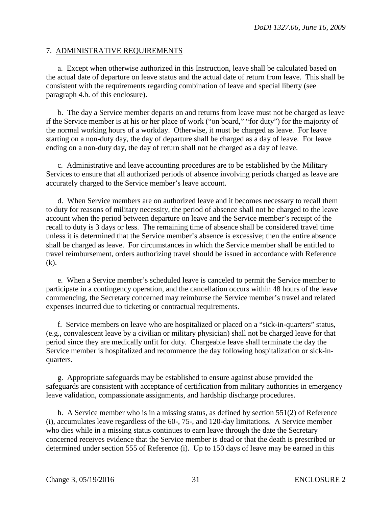## 7. ADMINISTRATIVE REQUIREMENTS

 a. Except when otherwise authorized in this Instruction, leave shall be calculated based on the actual date of departure on leave status and the actual date of return from leave. This shall be consistent with the requirements regarding combination of leave and special liberty (see paragraph 4.b. of this enclosure).

 b. The day a Service member departs on and returns from leave must not be charged as leave if the Service member is at his or her place of work ("on board," "for duty") for the majority of the normal working hours of a workday. Otherwise, it must be charged as leave. For leave starting on a non-duty day, the day of departure shall be charged as a day of leave. For leave ending on a non-duty day, the day of return shall not be charged as a day of leave.

 c. Administrative and leave accounting procedures are to be established by the Military Services to ensure that all authorized periods of absence involving periods charged as leave are accurately charged to the Service member's leave account.

 d. When Service members are on authorized leave and it becomes necessary to recall them to duty for reasons of military necessity, the period of absence shall not be charged to the leave account when the period between departure on leave and the Service member's receipt of the recall to duty is 3 days or less. The remaining time of absence shall be considered travel time unless it is determined that the Service member's absence is excessive; then the entire absence shall be charged as leave. For circumstances in which the Service member shall be entitled to travel reimbursement, orders authorizing travel should be issued in accordance with Reference (k).

 e. When a Service member's scheduled leave is canceled to permit the Service member to participate in a contingency operation, and the cancellation occurs within 48 hours of the leave commencing, the Secretary concerned may reimburse the Service member's travel and related expenses incurred due to ticketing or contractual requirements.

 f. Service members on leave who are hospitalized or placed on a "sick-in-quarters" status, (e.g., convalescent leave by a civilian or military physician) shall not be charged leave for that period since they are medically unfit for duty. Chargeable leave shall terminate the day the Service member is hospitalized and recommence the day following hospitalization or sick-inquarters.

 g. Appropriate safeguards may be established to ensure against abuse provided the safeguards are consistent with acceptance of certification from military authorities in emergency leave validation, compassionate assignments, and hardship discharge procedures.

 h. A Service member who is in a missing status, as defined by section 551(2) of Reference (i), accumulates leave regardless of the 60-, 75-, and 120-day limitations. A Service member who dies while in a missing status continues to earn leave through the date the Secretary concerned receives evidence that the Service member is dead or that the death is prescribed or determined under section 555 of Reference (i). Up to 150 days of leave may be earned in this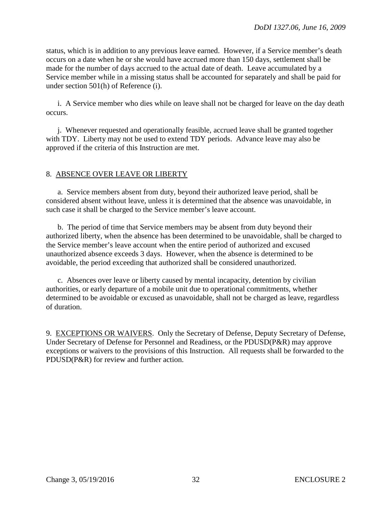status, which is in addition to any previous leave earned. However, if a Service member's death occurs on a date when he or she would have accrued more than 150 days, settlement shall be made for the number of days accrued to the actual date of death. Leave accumulated by a Service member while in a missing status shall be accounted for separately and shall be paid for under section 501(h) of Reference (i).

 i. A Service member who dies while on leave shall not be charged for leave on the day death occurs.

 j. Whenever requested and operationally feasible, accrued leave shall be granted together with TDY. Liberty may not be used to extend TDY periods. Advance leave may also be approved if the criteria of this Instruction are met.

# 8. ABSENCE OVER LEAVE OR LIBERTY

a. Service members absent from duty, beyond their authorized leave period, shall be considered absent without leave, unless it is determined that the absence was unavoidable, in such case it shall be charged to the Service member's leave account.

 b. The period of time that Service members may be absent from duty beyond their authorized liberty, when the absence has been determined to be unavoidable, shall be charged to the Service member's leave account when the entire period of authorized and excused unauthorized absence exceeds 3 days. However, when the absence is determined to be avoidable, the period exceeding that authorized shall be considered unauthorized.

c. Absences over leave or liberty caused by mental incapacity, detention by civilian authorities, or early departure of a mobile unit due to operational commitments, whether determined to be avoidable or excused as unavoidable, shall not be charged as leave, regardless of duration.

9. EXCEPTIONS OR WAIVERS. Only the Secretary of Defense, Deputy Secretary of Defense, Under Secretary of Defense for Personnel and Readiness, or the PDUSD(P&R) may approve exceptions or waivers to the provisions of this Instruction. All requests shall be forwarded to the PDUSD(P&R) for review and further action.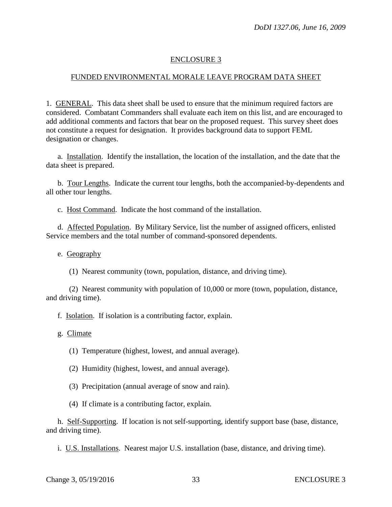# ENCLOSURE 3

## FUNDED ENVIRONMENTAL MORALE LEAVE PROGRAM DATA SHEET

1. GENERAL. This data sheet shall be used to ensure that the minimum required factors are considered. Combatant Commanders shall evaluate each item on this list, and are encouraged to add additional comments and factors that bear on the proposed request. This survey sheet does not constitute a request for designation. It provides background data to support FEML designation or changes.

a. Installation. Identify the installation, the location of the installation, and the date that the data sheet is prepared.

 b. Tour Lengths. Indicate the current tour lengths, both the accompanied-by-dependents and all other tour lengths.

c. Host Command. Indicate the host command of the installation.

 d. Affected Population. By Military Service, list the number of assigned officers, enlisted Service members and the total number of command-sponsored dependents.

e. Geography

(1) Nearest community (town, population, distance, and driving time).

 (2) Nearest community with population of 10,000 or more (town, population, distance, and driving time).

f. Isolation. If isolation is a contributing factor, explain.

g. Climate

(1) Temperature (highest, lowest, and annual average).

(2) Humidity (highest, lowest, and annual average).

(3) Precipitation (annual average of snow and rain).

(4) If climate is a contributing factor, explain.

 h. Self-Supporting. If location is not self-supporting, identify support base (base, distance, and driving time).

i. U.S. Installations. Nearest major U.S. installation (base, distance, and driving time).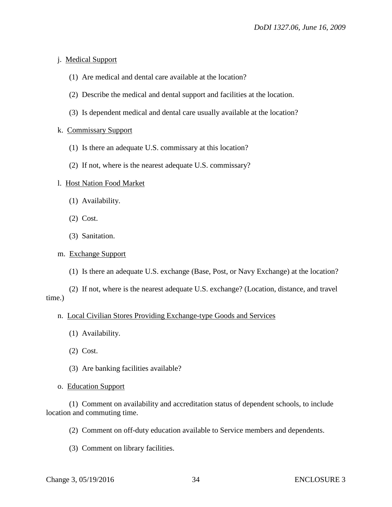#### j. Medical Support

- (1) Are medical and dental care available at the location?
- (2) Describe the medical and dental support and facilities at the location.
- (3) Is dependent medical and dental care usually available at the location?

#### k. Commissary Support

- (1) Is there an adequate U.S. commissary at this location?
- (2) If not, where is the nearest adequate U.S. commissary?

#### l. Host Nation Food Market

- (1) Availability.
- (2) Cost.
- (3) Sanitation.

#### m. Exchange Support

(1) Is there an adequate U.S. exchange (Base, Post, or Navy Exchange) at the location?

 (2) If not, where is the nearest adequate U.S. exchange? (Location, distance, and travel time.)

#### n. Local Civilian Stores Providing Exchange-type Goods and Services

- (1) Availability.
- (2) Cost.
- (3) Are banking facilities available?

#### o. Education Support

# (1) Comment on availability and accreditation status of dependent schools, to include location and commuting time.

(2) Comment on off-duty education available to Service members and dependents.

(3) Comment on library facilities.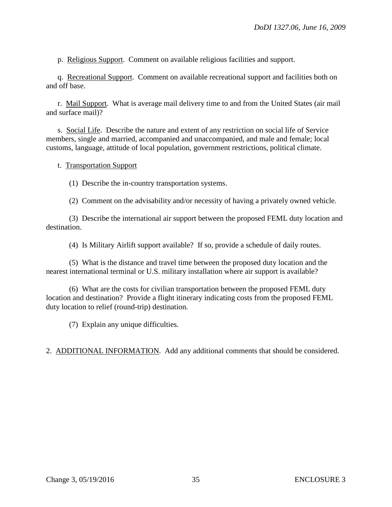p. Religious Support. Comment on available religious facilities and support.

 q. Recreational Support. Comment on available recreational support and facilities both on and off base.

r. Mail Support. What is average mail delivery time to and from the United States (air mail and surface mail)?

 s. Social Life. Describe the nature and extent of any restriction on social life of Service members, single and married, accompanied and unaccompanied, and male and female; local customs, language, attitude of local population, government restrictions, political climate.

t. Transportation Support

(1) Describe the in-country transportation systems.

(2) Comment on the advisability and/or necessity of having a privately owned vehicle.

 (3) Describe the international air support between the proposed FEML duty location and destination.

(4) Is Military Airlift support available? If so, provide a schedule of daily routes.

 (5) What is the distance and travel time between the proposed duty location and the nearest international terminal or U.S. military installation where air support is available?

 (6) What are the costs for civilian transportation between the proposed FEML duty location and destination? Provide a flight itinerary indicating costs from the proposed FEML duty location to relief (round-trip) destination.

(7) Explain any unique difficulties.

2. ADDITIONAL INFORMATION. Add any additional comments that should be considered.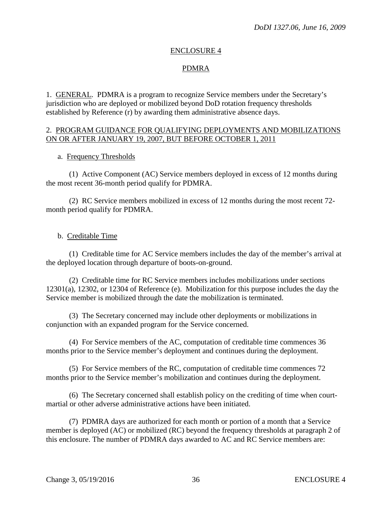#### ENCLOSURE 4

# PDMRA

1. GENERAL. PDMRA is a program to recognize Service members under the Secretary's jurisdiction who are deployed or mobilized beyond DoD rotation frequency thresholds established by Reference (r) by awarding them administrative absence days.

#### 2. PROGRAM GUIDANCE FOR QUALIFYING DEPLOYMENTS AND MOBILIZATIONS ON OR AFTER JANUARY 19, 2007, BUT BEFORE OCTOBER 1, 2011

#### a. Frequency Thresholds

 (1) Active Component (AC) Service members deployed in excess of 12 months during the most recent 36-month period qualify for PDMRA.

 (2) RC Service members mobilized in excess of 12 months during the most recent 72 month period qualify for PDMRA.

#### b. Creditable Time

 (1) Creditable time for AC Service members includes the day of the member's arrival at the deployed location through departure of boots-on-ground.

 (2) Creditable time for RC Service members includes mobilizations under sections 12301(a), 12302, or 12304 of Reference (e). Mobilization for this purpose includes the day the Service member is mobilized through the date the mobilization is terminated.

 (3) The Secretary concerned may include other deployments or mobilizations in conjunction with an expanded program for the Service concerned.

 (4) For Service members of the AC, computation of creditable time commences 36 months prior to the Service member's deployment and continues during the deployment.

 (5) For Service members of the RC, computation of creditable time commences 72 months prior to the Service member's mobilization and continues during the deployment.

 (6) The Secretary concerned shall establish policy on the crediting of time when courtmartial or other adverse administrative actions have been initiated.

 (7) PDMRA days are authorized for each month or portion of a month that a Service member is deployed (AC) or mobilized (RC) beyond the frequency thresholds at paragraph 2 of this enclosure. The number of PDMRA days awarded to AC and RC Service members are: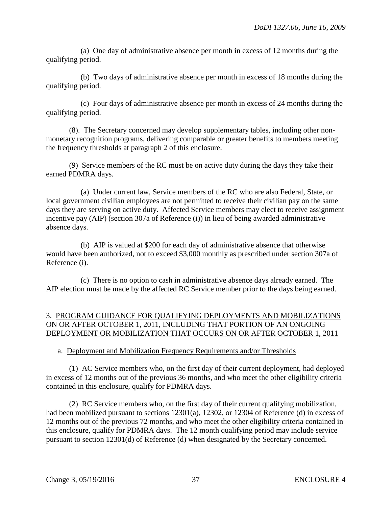(a) One day of administrative absence per month in excess of 12 months during the qualifying period.

 (b) Two days of administrative absence per month in excess of 18 months during the qualifying period.

 (c) Four days of administrative absence per month in excess of 24 months during the qualifying period.

 (8). The Secretary concerned may develop supplementary tables, including other nonmonetary recognition programs, delivering comparable or greater benefits to members meeting the frequency thresholds at paragraph 2 of this enclosure.

 (9) Service members of the RC must be on active duty during the days they take their earned PDMRA days.

 (a) Under current law, Service members of the RC who are also Federal, State, or local government civilian employees are not permitted to receive their civilian pay on the same days they are serving on active duty. Affected Service members may elect to receive assignment incentive pay (AIP) (section 307a of Reference (i)) in lieu of being awarded administrative absence days.

 (b) AIP is valued at \$200 for each day of administrative absence that otherwise would have been authorized, not to exceed \$3,000 monthly as prescribed under section 307a of Reference (i).

 (c) There is no option to cash in administrative absence days already earned. The AIP election must be made by the affected RC Service member prior to the days being earned.

# 3. PROGRAM GUIDANCE FOR QUALIFYING DEPLOYMENTS AND MOBILIZATIONS ON OR AFTER OCTOBER 1, 2011, INCLUDING THAT PORTION OF AN ONGOING DEPLOYMENT OR MOBILIZATION THAT OCCURS ON OR AFTER OCTOBER 1, 2011

# a. Deployment and Mobilization Frequency Requirements and/or Thresholds

 (1) AC Service members who, on the first day of their current deployment, had deployed in excess of 12 months out of the previous 36 months, and who meet the other eligibility criteria contained in this enclosure, qualify for PDMRA days.

 (2) RC Service members who, on the first day of their current qualifying mobilization, had been mobilized pursuant to sections 12301(a), 12302, or 12304 of Reference (d) in excess of 12 months out of the previous 72 months, and who meet the other eligibility criteria contained in this enclosure, qualify for PDMRA days. The 12 month qualifying period may include service pursuant to section 12301(d) of Reference (d) when designated by the Secretary concerned.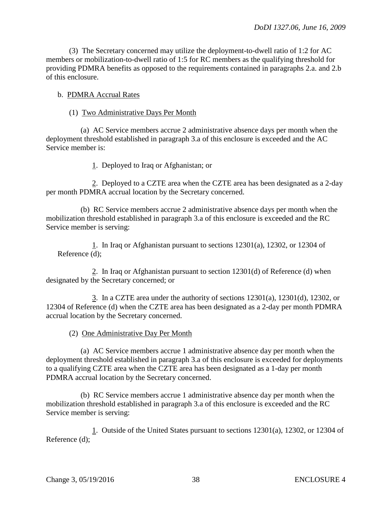(3) The Secretary concerned may utilize the deployment-to-dwell ratio of 1:2 for AC members or mobilization-to-dwell ratio of 1:5 for RC members as the qualifying threshold for providing PDMRA benefits as opposed to the requirements contained in paragraphs 2.a. and 2.b of this enclosure.

#### b. PDMRA Accrual Rates

#### (1) Two Administrative Days Per Month

 (a) AC Service members accrue 2 administrative absence days per month when the deployment threshold established in paragraph 3.a of this enclosure is exceeded and the AC Service member is:

1. Deployed to Iraq or Afghanistan; or

 2. Deployed to a CZTE area when the CZTE area has been designated as a 2-day per month PDMRA accrual location by the Secretary concerned.

 (b) RC Service members accrue 2 administrative absence days per month when the mobilization threshold established in paragraph 3.a of this enclosure is exceeded and the RC Service member is serving:

1. In Iraq or Afghanistan pursuant to sections 12301(a), 12302, or 12304 of Reference (d);

 2. In Iraq or Afghanistan pursuant to section 12301(d) of Reference (d) when designated by the Secretary concerned; or

3. In a CZTE area under the authority of sections  $12301(a)$ ,  $12301(d)$ ,  $12302$ , or 12304 of Reference (d) when the CZTE area has been designated as a 2-day per month PDMRA accrual location by the Secretary concerned.

(2) One Administrative Day Per Month

 (a) AC Service members accrue 1 administrative absence day per month when the deployment threshold established in paragraph 3.a of this enclosure is exceeded for deployments to a qualifying CZTE area when the CZTE area has been designated as a 1-day per month PDMRA accrual location by the Secretary concerned.

 (b) RC Service members accrue 1 administrative absence day per month when the mobilization threshold established in paragraph 3.a of this enclosure is exceeded and the RC Service member is serving:

1. Outside of the United States pursuant to sections 12301(a), 12302, or 12304 of Reference (d);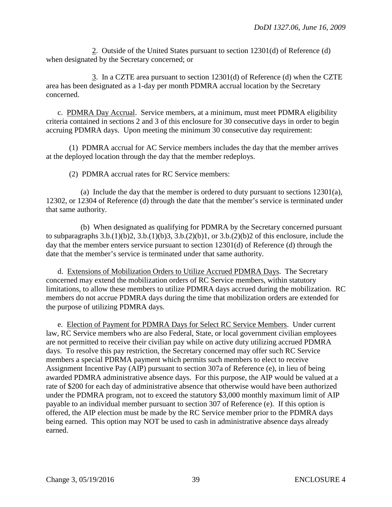2. Outside of the United States pursuant to section 12301(d) of Reference (d) when designated by the Secretary concerned; or

 3. In a CZTE area pursuant to section 12301(d) of Reference (d) when the CZTE area has been designated as a 1-day per month PDMRA accrual location by the Secretary concerned.

 c. PDMRA Day Accrual. Service members, at a minimum, must meet PDMRA eligibility criteria contained in sections 2 and 3 of this enclosure for 30 consecutive days in order to begin accruing PDMRA days. Upon meeting the minimum 30 consecutive day requirement:

 (1) PDMRA accrual for AC Service members includes the day that the member arrives at the deployed location through the day that the member redeploys.

(2) PDMRA accrual rates for RC Service members:

(a) Include the day that the member is ordered to duty pursuant to sections  $12301(a)$ , 12302, or 12304 of Reference (d) through the date that the member's service is terminated under that same authority.

 (b) When designated as qualifying for PDMRA by the Secretary concerned pursuant to subparagraphs  $3.b.(1)(b)2, 3.b.(1)(b)3, 3.b.(2)(b)1, or  $3.b.(2)(b)2$  of this enclosure, include the$ day that the member enters service pursuant to section 12301(d) of Reference (d) through the date that the member's service is terminated under that same authority.

 d. Extensions of Mobilization Orders to Utilize Accrued PDMRA Days. The Secretary concerned may extend the mobilization orders of RC Service members, within statutory limitations, to allow these members to utilize PDMRA days accrued during the mobilization. RC members do not accrue PDMRA days during the time that mobilization orders are extended for the purpose of utilizing PDMRA days.

 e. Election of Payment for PDMRA Days for Select RC Service Members. Under current law, RC Service members who are also Federal, State, or local government civilian employees are not permitted to receive their civilian pay while on active duty utilizing accrued PDMRA days. To resolve this pay restriction, the Secretary concerned may offer such RC Service members a special PDRMA payment which permits such members to elect to receive Assignment Incentive Pay (AIP) pursuant to section 307a of Reference (e), in lieu of being awarded PDMRA administrative absence days. For this purpose, the AIP would be valued at a rate of \$200 for each day of administrative absence that otherwise would have been authorized under the PDMRA program, not to exceed the statutory \$3,000 monthly maximum limit of AIP payable to an individual member pursuant to section 307 of Reference (e). If this option is offered, the AIP election must be made by the RC Service member prior to the PDMRA days being earned. This option may NOT be used to cash in administrative absence days already earned.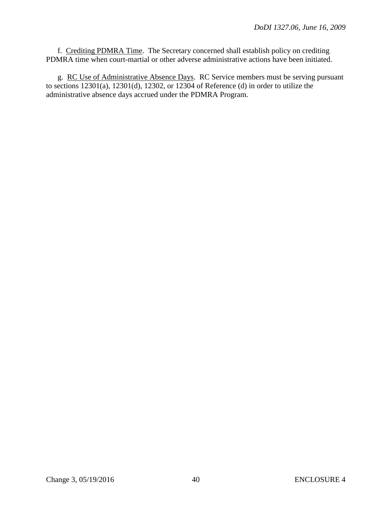f. Crediting PDMRA Time. The Secretary concerned shall establish policy on crediting PDMRA time when court-martial or other adverse administrative actions have been initiated.

 g. RC Use of Administrative Absence Days. RC Service members must be serving pursuant to sections 12301(a), 12301(d), 12302, or 12304 of Reference (d) in order to utilize the administrative absence days accrued under the PDMRA Program.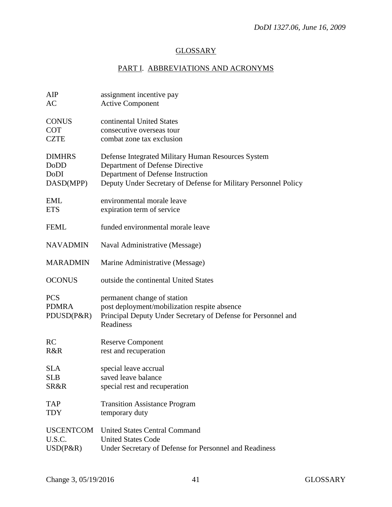# **GLOSSARY**

# PART I. ABBREVIATIONS AND ACRONYMS

| AIP              | assignment incentive pay                                        |
|------------------|-----------------------------------------------------------------|
| AC               | <b>Active Component</b>                                         |
|                  |                                                                 |
| <b>CONUS</b>     | continental United States                                       |
| <b>COT</b>       | consecutive overseas tour                                       |
| <b>CZTE</b>      | combat zone tax exclusion                                       |
|                  |                                                                 |
| <b>DIMHRS</b>    | Defense Integrated Military Human Resources System              |
| DoDD             | Department of Defense Directive                                 |
| DoDI             | Department of Defense Instruction                               |
| DASD(MPP)        | Deputy Under Secretary of Defense for Military Personnel Policy |
|                  |                                                                 |
|                  |                                                                 |
| EML              | environmental morale leave                                      |
| <b>ETS</b>       | expiration term of service                                      |
|                  |                                                                 |
| <b>FEML</b>      | funded environmental morale leave                               |
|                  |                                                                 |
| <b>NAVADMIN</b>  | Naval Administrative (Message)                                  |
|                  |                                                                 |
| <b>MARADMIN</b>  | Marine Administrative (Message)                                 |
|                  |                                                                 |
| <b>OCONUS</b>    | outside the continental United States                           |
|                  |                                                                 |
| <b>PCS</b>       | permanent change of station                                     |
| <b>PDMRA</b>     | post deployment/mobilization respite absence                    |
| PDUSD(P&R)       | Principal Deputy Under Secretary of Defense for Personnel and   |
|                  | Readiness                                                       |
|                  |                                                                 |
| <b>RC</b>        | <b>Reserve Component</b>                                        |
| R&R              | rest and recuperation                                           |
|                  |                                                                 |
| <b>SLA</b>       | special leave accrual                                           |
| <b>SLB</b>       |                                                                 |
|                  | saved leave balance                                             |
| SR&R             | special rest and recuperation                                   |
|                  |                                                                 |
| <b>TAP</b>       | <b>Transition Assistance Program</b>                            |
| <b>TDY</b>       | temporary duty                                                  |
|                  |                                                                 |
| <b>USCENTCOM</b> | <b>United States Central Command</b>                            |
| U.S.C.           | <b>United States Code</b>                                       |
| $USD(P\&R)$      | Under Secretary of Defense for Personnel and Readiness          |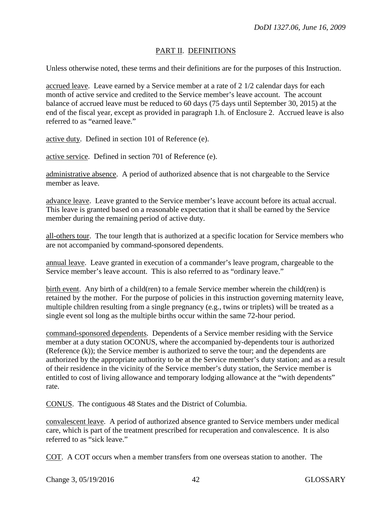# PART II. DEFINITIONS

Unless otherwise noted, these terms and their definitions are for the purposes of this Instruction.

accrued leave. Leave earned by a Service member at a rate of 2 1/2 calendar days for each month of active service and credited to the Service member's leave account. The account balance of accrued leave must be reduced to 60 days (75 days until September 30, 2015) at the end of the fiscal year, except as provided in paragraph 1.h. of Enclosure 2. Accrued leave is also referred to as "earned leave."

active duty. Defined in section 101 of Reference (e).

active service. Defined in section 701 of Reference (e).

administrative absence. A period of authorized absence that is not chargeable to the Service member as leave.

advance leave. Leave granted to the Service member's leave account before its actual accrual. This leave is granted based on a reasonable expectation that it shall be earned by the Service member during the remaining period of active duty.

all-others tour. The tour length that is authorized at a specific location for Service members who are not accompanied by command-sponsored dependents.

annual leave. Leave granted in execution of a commander's leave program, chargeable to the Service member's leave account. This is also referred to as "ordinary leave."

birth event. Any birth of a child(ren) to a female Service member wherein the child(ren) is retained by the mother. For the purpose of policies in this instruction governing maternity leave, multiple children resulting from a single pregnancy (e.g., twins or triplets) will be treated as a single event sol long as the multiple births occur within the same 72-hour period.

command-sponsored dependents. Dependents of a Service member residing with the Service member at a duty station OCONUS, where the accompanied by-dependents tour is authorized (Reference (k)); the Service member is authorized to serve the tour; and the dependents are authorized by the appropriate authority to be at the Service member's duty station; and as a result of their residence in the vicinity of the Service member's duty station, the Service member is entitled to cost of living allowance and temporary lodging allowance at the "with dependents" rate.

CONUS. The contiguous 48 States and the District of Columbia.

convalescent leave. A period of authorized absence granted to Service members under medical care, which is part of the treatment prescribed for recuperation and convalescence. It is also referred to as "sick leave."

COT. A COT occurs when a member transfers from one overseas station to another. The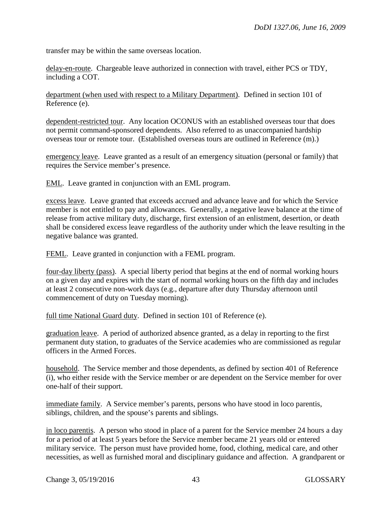transfer may be within the same overseas location.

delay-en-route. Chargeable leave authorized in connection with travel, either PCS or TDY, including a COT.

department (when used with respect to a Military Department). Defined in section 101 of Reference (e).

dependent-restricted tour. Any location OCONUS with an established overseas tour that does not permit command-sponsored dependents. Also referred to as unaccompanied hardship overseas tour or remote tour. (Established overseas tours are outlined in Reference (m).)

emergency leave. Leave granted as a result of an emergency situation (personal or family) that requires the Service member's presence.

EML. Leave granted in conjunction with an EML program.

excess leave. Leave granted that exceeds accrued and advance leave and for which the Service member is not entitled to pay and allowances. Generally, a negative leave balance at the time of release from active military duty, discharge, first extension of an enlistment, desertion, or death shall be considered excess leave regardless of the authority under which the leave resulting in the negative balance was granted.

FEML. Leave granted in conjunction with a FEML program.

four-day liberty (pass). A special liberty period that begins at the end of normal working hours on a given day and expires with the start of normal working hours on the fifth day and includes at least 2 consecutive non-work days (e.g., departure after duty Thursday afternoon until commencement of duty on Tuesday morning).

full time National Guard duty. Defined in section 101 of Reference (e).

graduation leave. A period of authorized absence granted, as a delay in reporting to the first permanent duty station, to graduates of the Service academies who are commissioned as regular officers in the Armed Forces.

household. The Service member and those dependents, as defined by section 401 of Reference (i), who either reside with the Service member or are dependent on the Service member for over one-half of their support.

immediate family. A Service member's parents, persons who have stood in loco parentis, siblings, children, and the spouse's parents and siblings.

in loco parentis. A person who stood in place of a parent for the Service member 24 hours a day for a period of at least 5 years before the Service member became 21 years old or entered military service. The person must have provided home, food, clothing, medical care, and other necessities, as well as furnished moral and disciplinary guidance and affection. A grandparent or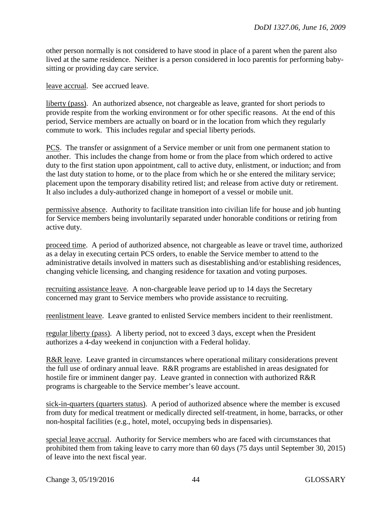other person normally is not considered to have stood in place of a parent when the parent also lived at the same residence. Neither is a person considered in loco parentis for performing babysitting or providing day care service.

leave accrual. See accrued leave.

liberty (pass). An authorized absence, not chargeable as leave, granted for short periods to provide respite from the working environment or for other specific reasons. At the end of this period, Service members are actually on board or in the location from which they regularly commute to work. This includes regular and special liberty periods.

PCS. The transfer or assignment of a Service member or unit from one permanent station to another. This includes the change from home or from the place from which ordered to active duty to the first station upon appointment, call to active duty, enlistment, or induction; and from the last duty station to home, or to the place from which he or she entered the military service; placement upon the temporary disability retired list; and release from active duty or retirement. It also includes a duly-authorized change in homeport of a vessel or mobile unit.

permissive absence. Authority to facilitate transition into civilian life for house and job hunting for Service members being involuntarily separated under honorable conditions or retiring from active duty.

proceed time. A period of authorized absence, not chargeable as leave or travel time, authorized as a delay in executing certain PCS orders, to enable the Service member to attend to the administrative details involved in matters such as disestablishing and/or establishing residences, changing vehicle licensing, and changing residence for taxation and voting purposes.

recruiting assistance leave. A non-chargeable leave period up to 14 days the Secretary concerned may grant to Service members who provide assistance to recruiting.

reenlistment leave. Leave granted to enlisted Service members incident to their reenlistment.

regular liberty (pass). A liberty period, not to exceed 3 days, except when the President authorizes a 4-day weekend in conjunction with a Federal holiday.

R&R leave. Leave granted in circumstances where operational military considerations prevent the full use of ordinary annual leave. R&R programs are established in areas designated for hostile fire or imminent danger pay. Leave granted in connection with authorized R&R programs is chargeable to the Service member's leave account.

sick-in-quarters (quarters status). A period of authorized absence where the member is excused from duty for medical treatment or medically directed self-treatment, in home, barracks, or other non-hospital facilities (e.g., hotel, motel, occupying beds in dispensaries).

special leave accrual. Authority for Service members who are faced with circumstances that prohibited them from taking leave to carry more than 60 days (75 days until September 30, 2015) of leave into the next fiscal year.